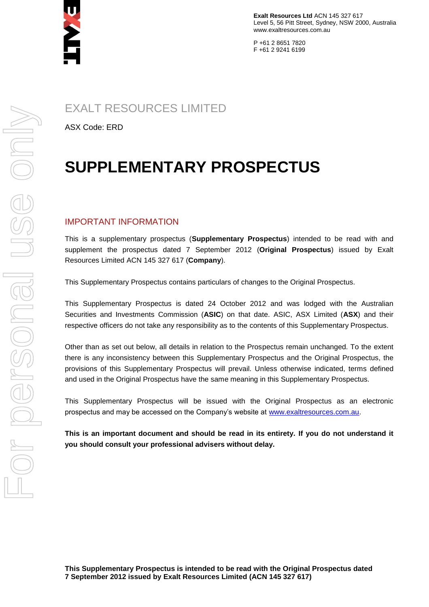

**Exalt Resources Ltd** ACN 145 327 617 Level 5, 56 Pitt Street, Sydney, NSW 2000, Australia www.exaltresources.com.au

P +61 2 8651 7820 F +61 2 9241 6199

EXALT RESOURCES LIMITED

ASX Code: ERD

# **SUPPLEMENTARY PROSPECTUS**

## IMPORTANT INFORMATION

This is a supplementary prospectus (**Supplementary Prospectus**) intended to be read with and supplement the prospectus dated 7 September 2012 (**Original Prospectus**) issued by Exalt Resources Limited ACN 145 327 617 (**Company**).

This Supplementary Prospectus contains particulars of changes to the Original Prospectus.

This Supplementary Prospectus is dated 24 October 2012 and was lodged with the Australian Securities and Investments Commission (**ASIC**) on that date. ASIC, ASX Limited (**ASX**) and their respective officers do not take any responsibility as to the contents of this Supplementary Prospectus.

Other than as set out below, all details in relation to the Prospectus remain unchanged. To the extent there is any inconsistency between this Supplementary Prospectus and the Original Prospectus, the provisions of this Supplementary Prospectus will prevail. Unless otherwise indicated, terms defined and used in the Original Prospectus have the same meaning in this Supplementary Prospectus.

This Supplementary Prospectus will be issued with the Original Prospectus as an electronic prospectus and may be accessed on the Company's website at [www.exaltresources.com.au.](http://www.exaltresources.com.au/)

**This is an important document and should be read in its entirety. If you do not understand it you should consult your professional advisers without delay.**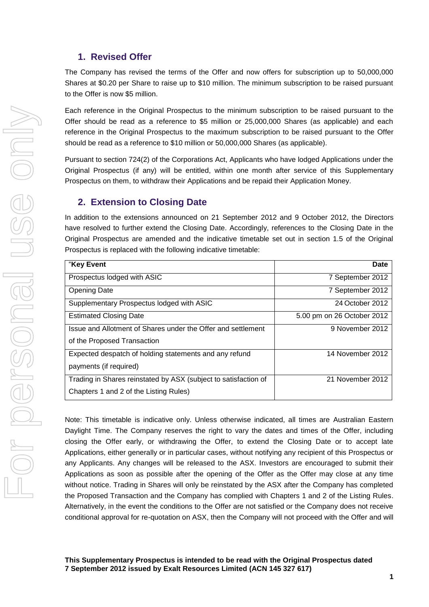## **1. Revised Offer**

The Company has revised the terms of the Offer and now offers for subscription up to 50,000,000 Shares at \$0.20 per Share to raise up to \$10 million. The minimum subscription to be raised pursuant to the Offer is now \$5 million.

Each reference in the Original Prospectus to the minimum subscription to be raised pursuant to the Offer should be read as a reference to \$5 million or 25,000,000 Shares (as applicable) and each reference in the Original Prospectus to the maximum subscription to be raised pursuant to the Offer should be read as a reference to \$10 million or 50,000,000 Shares (as applicable).

Pursuant to section 724(2) of the Corporations Act, Applicants who have lodged Applications under the Original Prospectus (if any) will be entitled, within one month after service of this Supplementary Prospectus on them, to withdraw their Applications and be repaid their Application Money.

## **2. Extension to Closing Date**

In addition to the extensions announced on 21 September 2012 and 9 October 2012, the Directors have resolved to further extend the Closing Date. Accordingly, references to the Closing Date in the Original Prospectus are amended and the indicative timetable set out in section 1.5 of the Original Prospectus is replaced with the following indicative timetable:

| "Key Event                                                      | Date                       |
|-----------------------------------------------------------------|----------------------------|
| Prospectus lodged with ASIC                                     | 7 September 2012           |
| <b>Opening Date</b>                                             | 7 September 2012           |
| Supplementary Prospectus lodged with ASIC                       | 24 October 2012            |
| <b>Estimated Closing Date</b>                                   | 5.00 pm on 26 October 2012 |
| Issue and Allotment of Shares under the Offer and settlement    | 9 November 2012            |
| of the Proposed Transaction                                     |                            |
| Expected despatch of holding statements and any refund          | 14 November 2012           |
| payments (if required)                                          |                            |
| Trading in Shares reinstated by ASX (subject to satisfaction of | 21 November 2012           |
| Chapters 1 and 2 of the Listing Rules)                          |                            |

Note: This timetable is indicative only. Unless otherwise indicated, all times are Australian Eastern Daylight Time. The Company reserves the right to vary the dates and times of the Offer, including closing the Offer early, or withdrawing the Offer, to extend the Closing Date or to accept late Applications, either generally or in particular cases, without notifying any recipient of this Prospectus or any Applicants. Any changes will be released to the ASX. Investors are encouraged to submit their Applications as soon as possible after the opening of the Offer as the Offer may close at any time without notice. Trading in Shares will only be reinstated by the ASX after the Company has completed the Proposed Transaction and the Company has complied with Chapters 1 and 2 of the Listing Rules. Alternatively, in the event the conditions to the Offer are not satisfied or the Company does not receive conditional approval for re-quotation on ASX, then the Company will not proceed with the Offer and will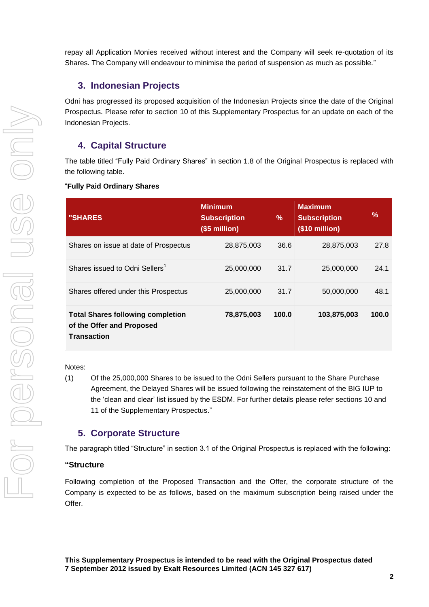repay all Application Monies received without interest and the Company will seek re-quotation of its Shares. The Company will endeavour to minimise the period of suspension as much as possible."

## **3. Indonesian Projects**

Odni has progressed its proposed acquisition of the Indonesian Projects since the date of the Original Prospectus. Please refer to section 10 of this Supplementary Prospectus for an update on each of the Indonesian Projects.

## **4. Capital Structure**

The table titled "Fully Paid Ordinary Shares" in section 1.8 of the Original Prospectus is replaced with the following table.

#### "**Fully Paid Ordinary Shares**

| <b>"SHARES</b>                                                                       | <b>Minimum</b><br><b>Subscription</b><br>(\$5 million) | $\%$  | <b>Maximum</b><br><b>Subscription</b><br>(\$10 million) | %     |
|--------------------------------------------------------------------------------------|--------------------------------------------------------|-------|---------------------------------------------------------|-------|
| Shares on issue at date of Prospectus                                                | 28,875,003                                             | 36.6  | 28,875,003                                              | 27.8  |
| Shares issued to Odni Sellers <sup>1</sup>                                           | 25,000,000                                             | 31.7  | 25,000,000                                              | 24.1  |
| Shares offered under this Prospectus                                                 | 25,000,000                                             | 31.7  | 50,000,000                                              | 48.1  |
| <b>Total Shares following completion</b><br>of the Offer and Proposed<br>Transaction | 78,875,003                                             | 100.0 | 103,875,003                                             | 100.0 |

#### Notes:

(1) Of the 25,000,000 Shares to be issued to the Odni Sellers pursuant to the Share Purchase Agreement, the Delayed Shares will be issued following the reinstatement of the BIG IUP to the 'clean and clear' list issued by the ESDM. For further details please refer sections 10 and 11 of the Supplementary Prospectus."

## **5. Corporate Structure**

The paragraph titled "Structure" in section 3.1 of the Original Prospectus is replaced with the following:

#### **"Structure**

Following completion of the Proposed Transaction and the Offer, the corporate structure of the Company is expected to be as follows, based on the maximum subscription being raised under the Offer.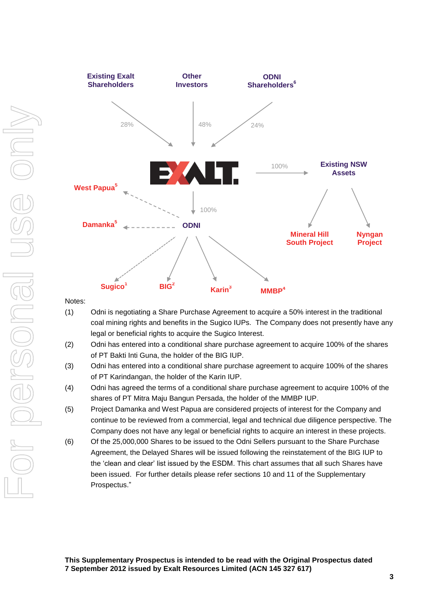

Notes:

- (1) Odni is negotiating a Share Purchase Agreement to acquire a 50% interest in the traditional coal mining rights and benefits in the Sugico IUPs. The Company does not presently have any legal or beneficial rights to acquire the Sugico Interest.
- (2) Odni has entered into a conditional share purchase agreement to acquire 100% of the shares of PT Bakti Inti Guna, the holder of the BIG IUP.
- (3) Odni has entered into a conditional share purchase agreement to acquire 100% of the shares of PT Karindangan, the holder of the Karin IUP.
- (4) Odni has agreed the terms of a conditional share purchase agreement to acquire 100% of the shares of PT Mitra Maju Bangun Persada, the holder of the MMBP IUP.
- (5) Project Damanka and West Papua are considered projects of interest for the Company and continue to be reviewed from a commercial, legal and technical due diligence perspective. The Company does not have any legal or beneficial rights to acquire an interest in these projects.
- (6) Of the 25,000,000 Shares to be issued to the Odni Sellers pursuant to the Share Purchase Agreement, the Delayed Shares will be issued following the reinstatement of the BIG IUP to the 'clean and clear' list issued by the ESDM. This chart assumes that all such Shares have been issued. For further details please refer sections 10 and 11 of the Supplementary Prospectus."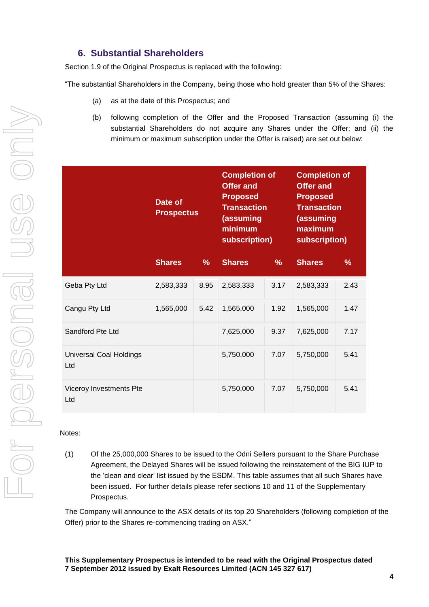## **6. Substantial Shareholders**

Section 1.9 of the Original Prospectus is replaced with the following:

"The substantial Shareholders in the Company, being those who hold greater than 5% of the Shares:

- (a) as at the date of this Prospectus; and
- (b) following completion of the Offer and the Proposed Transaction (assuming (i) the substantial Shareholders do not acquire any Shares under the Offer; and (ii) the minimum or maximum subscription under the Offer is raised) are set out below:

|                                       | Date of<br><b>Prospectus</b> |               | <b>Completion of</b><br><b>Offer and</b><br><b>Proposed</b><br><b>Transaction</b><br>(assuming<br>minimum<br>subscription) |               | <b>Completion of</b><br><b>Offer and</b><br><b>Proposed</b><br><b>Transaction</b><br>(assuming<br>maximum<br>subscription) |               |
|---------------------------------------|------------------------------|---------------|----------------------------------------------------------------------------------------------------------------------------|---------------|----------------------------------------------------------------------------------------------------------------------------|---------------|
|                                       | <b>Shares</b>                | $\frac{9}{6}$ | <b>Shares</b>                                                                                                              | $\frac{9}{6}$ | <b>Shares</b>                                                                                                              | $\frac{9}{6}$ |
| Geba Pty Ltd                          | 2,583,333                    | 8.95          | 2,583,333                                                                                                                  | 3.17          | 2,583,333                                                                                                                  | 2.43          |
| Cangu Pty Ltd                         | 1,565,000                    | 5.42          | 1,565,000                                                                                                                  | 1.92          | 1,565,000                                                                                                                  | 1.47          |
| Sandford Pte Ltd                      |                              |               | 7,625,000                                                                                                                  | 9.37          | 7,625,000                                                                                                                  | 7.17          |
| <b>Universal Coal Holdings</b><br>Ltd |                              |               | 5,750,000                                                                                                                  | 7.07          | 5,750,000                                                                                                                  | 5.41          |
| Viceroy Investments Pte<br>Ltd        |                              |               | 5,750,000                                                                                                                  | 7.07          | 5,750,000                                                                                                                  | 5.41          |

#### Notes:

(1) Of the 25,000,000 Shares to be issued to the Odni Sellers pursuant to the Share Purchase Agreement, the Delayed Shares will be issued following the reinstatement of the BIG IUP to the 'clean and clear' list issued by the ESDM. This table assumes that all such Shares have been issued. For further details please refer sections 10 and 11 of the Supplementary Prospectus.

The Company will announce to the ASX details of its top 20 Shareholders (following completion of the Offer) prior to the Shares re-commencing trading on ASX."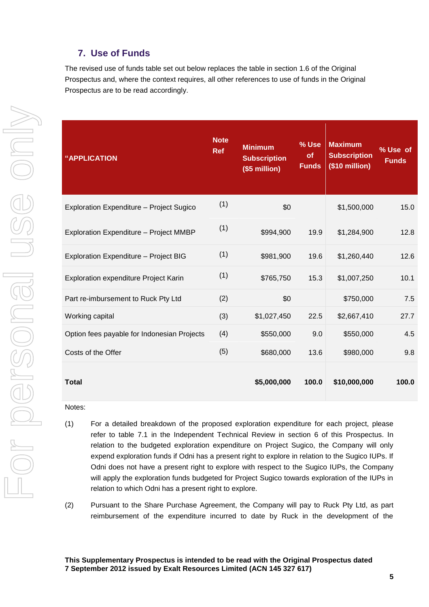## **7. Use of Funds**

The revised use of funds table set out below replaces the table in section 1.6 of the Original Prospectus and, where the context requires, all other references to use of funds in the Original Prospectus are to be read accordingly.

| "APPLICATION                                    | <b>Note</b><br><b>Ref</b> | <b>Minimum</b><br><b>Subscription</b><br>(\$5 million) | % Use<br><b>of</b><br><b>Funds</b> | <b>Maximum</b><br><b>Subscription</b><br>(\$10 million) | % Use of<br><b>Funds</b> |
|-------------------------------------------------|---------------------------|--------------------------------------------------------|------------------------------------|---------------------------------------------------------|--------------------------|
| <b>Exploration Expenditure - Project Sugico</b> | (1)                       | \$0                                                    |                                    | \$1,500,000                                             | 15.0                     |
| <b>Exploration Expenditure - Project MMBP</b>   | (1)                       | \$994,900                                              | 19.9                               | \$1,284,900                                             | 12.8                     |
| Exploration Expenditure - Project BIG           | (1)                       | \$981,900                                              | 19.6                               | \$1,260,440                                             | 12.6                     |
| Exploration expenditure Project Karin           | (1)                       | \$765,750                                              | 15.3                               | \$1,007,250                                             | 10.1                     |
| Part re-imbursement to Ruck Pty Ltd             | (2)                       | \$0                                                    |                                    | \$750,000                                               | 7.5                      |
| Working capital                                 | (3)                       | \$1,027,450                                            | 22.5                               | \$2,667,410                                             | 27.7                     |
| Option fees payable for Indonesian Projects     | (4)                       | \$550,000                                              | 9.0                                | \$550,000                                               | 4.5                      |
| Costs of the Offer                              | (5)                       | \$680,000                                              | 13.6                               | \$980,000                                               | 9.8                      |
| <b>Total</b>                                    |                           | \$5,000,000                                            | 100.0                              | \$10,000,000                                            | 100.0                    |

Notes:

- (1) For a detailed breakdown of the proposed exploration expenditure for each project, please refer to table 7.1 in the Independent Technical Review in section 6 of this Prospectus. In relation to the budgeted exploration expenditure on Project Sugico, the Company will only expend exploration funds if Odni has a present right to explore in relation to the Sugico IUPs. If Odni does not have a present right to explore with respect to the Sugico IUPs, the Company will apply the exploration funds budgeted for Project Sugico towards exploration of the IUPs in relation to which Odni has a present right to explore.
- (2) Pursuant to the Share Purchase Agreement, the Company will pay to Ruck Pty Ltd, as part reimbursement of the expenditure incurred to date by Ruck in the development of the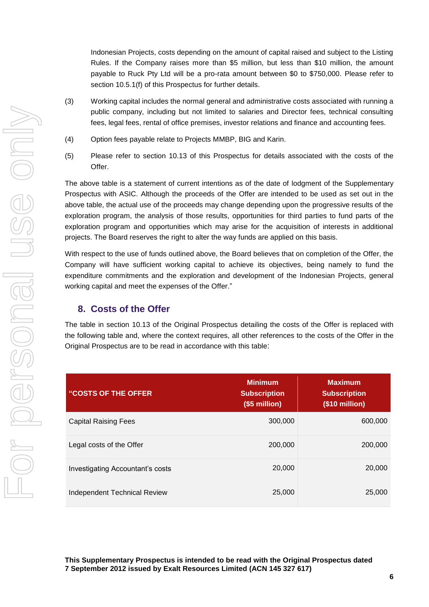Indonesian Projects, costs depending on the amount of capital raised and subject to the Listing Rules. If the Company raises more than \$5 million, but less than \$10 million, the amount payable to Ruck Pty Ltd will be a pro-rata amount between \$0 to \$750,000. Please refer to section 10.5.1(f) of this Prospectus for further details.

- (3) Working capital includes the normal general and administrative costs associated with running a public company, including but not limited to salaries and Director fees, technical consulting fees, legal fees, rental of office premises, investor relations and finance and accounting fees.
- (4) Option fees payable relate to Projects MMBP, BIG and Karin.
- (5) Please refer to section 10.13 of this Prospectus for details associated with the costs of the Offer.

The above table is a statement of current intentions as of the date of lodgment of the Supplementary Prospectus with ASIC. Although the proceeds of the Offer are intended to be used as set out in the above table, the actual use of the proceeds may change depending upon the progressive results of the exploration program, the analysis of those results, opportunities for third parties to fund parts of the exploration program and opportunities which may arise for the acquisition of interests in additional projects. The Board reserves the right to alter the way funds are applied on this basis.

With respect to the use of funds outlined above, the Board believes that on completion of the Offer, the Company will have sufficient working capital to achieve its objectives, being namely to fund the expenditure commitments and the exploration and development of the Indonesian Projects, general working capital and meet the expenses of the Offer."

## **8. Costs of the Offer**

The table in section 10.13 of the Original Prospectus detailing the costs of the Offer is replaced with the following table and, where the context requires, all other references to the costs of the Offer in the Original Prospectus are to be read in accordance with this table:

| <b>"COSTS OF THE OFFER</b>          | <b>Minimum</b><br><b>Subscription</b><br>(\$5 million) | <b>Maximum</b><br><b>Subscription</b><br>(\$10 million) |
|-------------------------------------|--------------------------------------------------------|---------------------------------------------------------|
| <b>Capital Raising Fees</b>         | 300,000                                                | 600,000                                                 |
| Legal costs of the Offer            | 200,000                                                | 200,000                                                 |
| Investigating Accountant's costs    | 20,000                                                 | 20,000                                                  |
| <b>Independent Technical Review</b> | 25,000                                                 | 25,000                                                  |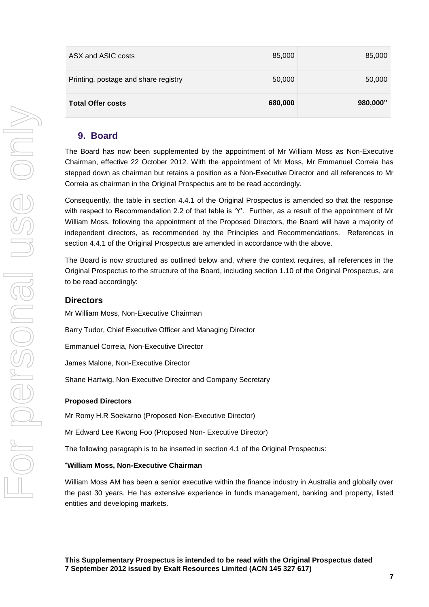| ASX and ASIC costs                   | 85,000  | 85,000   |
|--------------------------------------|---------|----------|
| Printing, postage and share registry | 50,000  | 50,000   |
| <b>Total Offer costs</b>             | 680,000 | 980,000" |

## **9. Board**

The Board has now been supplemented by the appointment of Mr William Moss as Non-Executive Chairman, effective 22 October 2012. With the appointment of Mr Moss, Mr Emmanuel Correia has stepped down as chairman but retains a position as a Non-Executive Director and all references to Mr Correia as chairman in the Original Prospectus are to be read accordingly.

Consequently, the table in section 4.4.1 of the Original Prospectus is amended so that the response with respect to Recommendation 2.2 of that table is 'Y'. Further, as a result of the appointment of Mr William Moss, following the appointment of the Proposed Directors, the Board will have a majority of independent directors, as recommended by the Principles and Recommendations. References in section 4.4.1 of the Original Prospectus are amended in accordance with the above.

The Board is now structured as outlined below and, where the context requires, all references in the Original Prospectus to the structure of the Board, including section 1.10 of the Original Prospectus, are to be read accordingly:

## **Directors**

Mr William Moss, Non-Executive Chairman

Barry Tudor, Chief Executive Officer and Managing Director

Emmanuel Correia, Non-Executive Director

James Malone, Non-Executive Director

Shane Hartwig, Non-Executive Director and Company Secretary

#### **Proposed Directors**

Mr Romy H.R Soekarno (Proposed Non-Executive Director)

Mr Edward Lee Kwong Foo (Proposed Non- Executive Director)

The following paragraph is to be inserted in section 4.1 of the Original Prospectus:

#### "**William Moss, Non-Executive Chairman**

William Moss AM has been a senior executive within the finance industry in Australia and globally over the past 30 years. He has extensive experience in funds management, banking and property, listed entities and developing markets.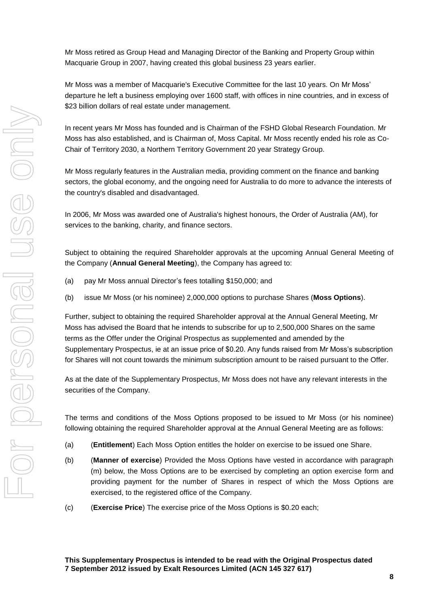Mr Moss retired as Group Head and Managing Director of the Banking and Property Group within Macquarie Group in 2007, having created this global business 23 years earlier.

Mr Moss was a member of Macquarie's Executive Committee for the last 10 years. On Mr Moss' departure he left a business employing over 1600 staff, with offices in nine countries, and in excess of \$23 billion dollars of real estate under management.

In recent years Mr Moss has founded and is Chairman of the FSHD Global Research Foundation. Mr Moss has also established, and is Chairman of, Moss Capital. Mr Moss recently ended his role as Co-Chair of Territory 2030, a Northern Territory Government 20 year Strategy Group.

Mr Moss regularly features in the Australian media, providing comment on the finance and banking sectors, the global economy, and the ongoing need for Australia to do more to advance the interests of the country's disabled and disadvantaged.

In 2006, Mr Moss was awarded one of Australia's highest honours, the Order of Australia (AM), for services to the banking, charity, and finance sectors.

Subject to obtaining the required Shareholder approvals at the upcoming Annual General Meeting of the Company (**Annual General Meeting**), the Company has agreed to:

- (a) pay Mr Moss annual Director's fees totalling \$150,000; and
- (b) issue Mr Moss (or his nominee) 2,000,000 options to purchase Shares (**Moss Options**).

Further, subject to obtaining the required Shareholder approval at the Annual General Meeting, Mr Moss has advised the Board that he intends to subscribe for up to 2,500,000 Shares on the same terms as the Offer under the Original Prospectus as supplemented and amended by the Supplementary Prospectus, ie at an issue price of \$0.20. Any funds raised from Mr Moss's subscription for Shares will not count towards the minimum subscription amount to be raised pursuant to the Offer.

As at the date of the Supplementary Prospectus, Mr Moss does not have any relevant interests in the securities of the Company.

The terms and conditions of the Moss Options proposed to be issued to Mr Moss (or his nominee) following obtaining the required Shareholder approval at the Annual General Meeting are as follows:

- (a) (**Entitlement**) Each Moss Option entitles the holder on exercise to be issued one Share.
- (b) (**Manner of exercise**) Provided the Moss Options have vested in accordance with paragraph (m) below, the Moss Options are to be exercised by completing an option exercise form and providing payment for the number of Shares in respect of which the Moss Options are exercised, to the registered office of the Company.
- (c) (**Exercise Price**) The exercise price of the Moss Options is \$0.20 each;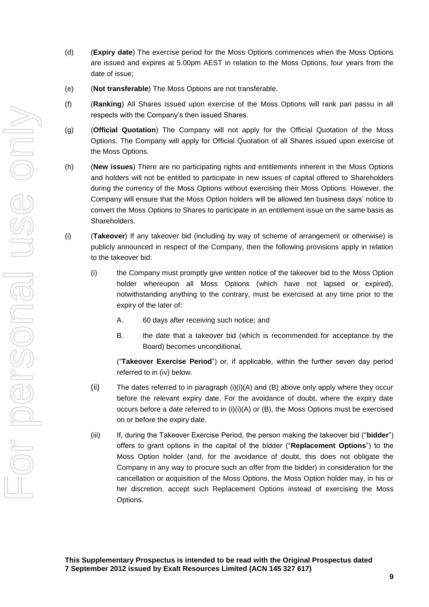- (d) (**Expiry date**) The exercise period for the Moss Options commences when the Moss Options are issued and expires at 5.00pm AEST in relation to the Moss Options, four years from the date of issue;
- (e) (**Not transferable**) The Moss Options are not transferable.
- (f) (**Ranking**) All Shares issued upon exercise of the Moss Options will rank pari passu in all respects with the Company's then issued Shares.
- (g) (**Official Quotation**) The Company will not apply for the Official Quotation of the Moss Options. The Company will apply for Official Quotation of all Shares issued upon exercise of the Moss Options.
- (h) (**New issues**) There are no participating rights and entitlements inherent in the Moss Options and holders will not be entitled to participate in new issues of capital offered to Shareholders during the currency of the Moss Options without exercising their Moss Options. However, the Company will ensure that the Moss Option holders will be allowed ten business days' notice to convert the Moss Options to Shares to participate in an entitlement issue on the same basis as Shareholders.
- (i) (**Takeover**) If any takeover bid (including by way of scheme of arrangement or otherwise) is publicly announced in respect of the Company, then the following provisions apply in relation to the takeover bid:
	- (i) the Company must promptly give written notice of the takeover bid to the Moss Option holder whereupon all Moss Options (which have not lapsed or expired), notwithstanding anything to the contrary, must be exercised at any time prior to the expiry of the later of:
		- A. 60 days after receiving such notice; and
		- B. the date that a takeover bid (which is recommended for acceptance by the Board) becomes unconditional,

("**Takeover Exercise Period**") or, if applicable, within the further seven day period referred to in (iv) below.

- (ii) The dates referred to in paragraph  $(i)(i)(A)$  and  $(B)$  above only apply where they occur before the relevant expiry date. For the avoidance of doubt, where the expiry date occurs before a date referred to in  $(i)(i)(A)$  or  $(B)$ , the Moss Options must be exercised on or before the expiry date.
- (iii) If, during the Takeover Exercise Period, the person making the takeover bid ("**bidder**") offers to grant options in the capital of the bidder ("**Replacement Options**") to the Moss Option holder (and, for the avoidance of doubt, this does not obligate the Company in any way to procure such an offer from the bidder) in consideration for the cancellation or acquisition of the Moss Options, the Moss Option holder may, in his or her discretion, accept such Replacement Options instead of exercising the Moss Options.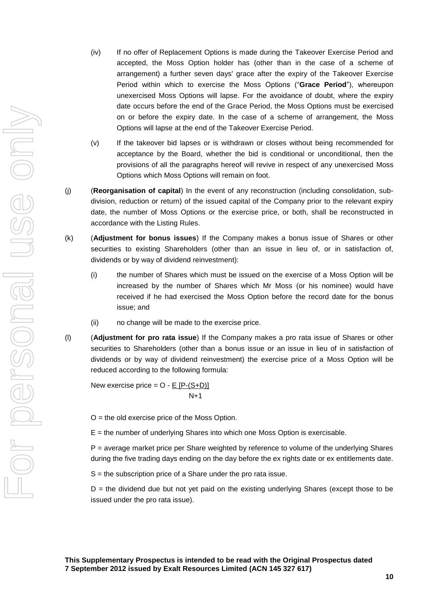- (iv) If no offer of Replacement Options is made during the Takeover Exercise Period and accepted, the Moss Option holder has (other than in the case of a scheme of arrangement) a further seven days' grace after the expiry of the Takeover Exercise Period within which to exercise the Moss Options ("**Grace Period**"), whereupon unexercised Moss Options will lapse. For the avoidance of doubt, where the expiry date occurs before the end of the Grace Period, the Moss Options must be exercised on or before the expiry date. In the case of a scheme of arrangement, the Moss Options will lapse at the end of the Takeover Exercise Period.
- (v) If the takeover bid lapses or is withdrawn or closes without being recommended for acceptance by the Board, whether the bid is conditional or unconditional, then the provisions of all the paragraphs hereof will revive in respect of any unexercised Moss Options which Moss Options will remain on foot.
- (j) (**Reorganisation of capital**) In the event of any reconstruction (including consolidation, subdivision, reduction or return) of the issued capital of the Company prior to the relevant expiry date, the number of Moss Options or the exercise price, or both, shall be reconstructed in accordance with the Listing Rules.
- (k) (**Adjustment for bonus issues**) If the Company makes a bonus issue of Shares or other securities to existing Shareholders (other than an issue in lieu of, or in satisfaction of, dividends or by way of dividend reinvestment):
	- (i) the number of Shares which must be issued on the exercise of a Moss Option will be increased by the number of Shares which Mr Moss (or his nominee) would have received if he had exercised the Moss Option before the record date for the bonus issue; and
	- (ii) no change will be made to the exercise price.
- (l) (**Adjustment for pro rata issue**) If the Company makes a pro rata issue of Shares or other securities to Shareholders (other than a bonus issue or an issue in lieu of in satisfaction of dividends or by way of dividend reinvestment) the exercise price of a Moss Option will be reduced according to the following formula:

New exercise price =  $O - E$  [P-(S+D)] N+1

 $O =$  the old exercise price of the Moss Option.

 $E =$  the number of underlying Shares into which one Moss Option is exercisable.

P = average market price per Share weighted by reference to volume of the underlying Shares during the five trading days ending on the day before the ex rights date or ex entitlements date.

S = the subscription price of a Share under the pro rata issue.

 $D =$  the dividend due but not yet paid on the existing underlying Shares (except those to be issued under the pro rata issue).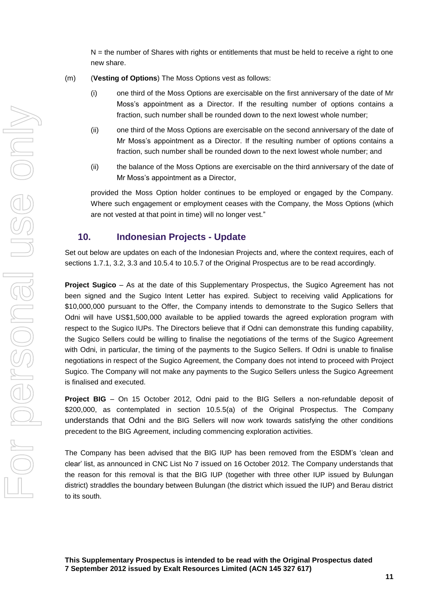$N =$  the number of Shares with rights or entitlements that must be held to receive a right to one new share.

- (m) (**Vesting of Options**) The Moss Options vest as follows:
	- (i) one third of the Moss Options are exercisable on the first anniversary of the date of Mr Moss's appointment as a Director. If the resulting number of options contains a fraction, such number shall be rounded down to the next lowest whole number;
	- (ii) one third of the Moss Options are exercisable on the second anniversary of the date of Mr Moss's appointment as a Director. If the resulting number of options contains a fraction, such number shall be rounded down to the next lowest whole number; and
	- (ii) the balance of the Moss Options are exercisable on the third anniversary of the date of Mr Moss's appointment as a Director,

provided the Moss Option holder continues to be employed or engaged by the Company. Where such engagement or employment ceases with the Company, the Moss Options (which are not vested at that point in time) will no longer vest."

## **10. Indonesian Projects - Update**

Set out below are updates on each of the Indonesian Projects and, where the context requires, each of sections 1.7.1, 3.2, 3.3 and 10.5.4 to 10.5.7 of the Original Prospectus are to be read accordingly.

**Project Sugico** – As at the date of this Supplementary Prospectus, the Sugico Agreement has not been signed and the Sugico Intent Letter has expired. Subject to receiving valid Applications for \$10,000,000 pursuant to the Offer, the Company intends to demonstrate to the Sugico Sellers that Odni will have US\$1,500,000 available to be applied towards the agreed exploration program with respect to the Sugico IUPs. The Directors believe that if Odni can demonstrate this funding capability, the Sugico Sellers could be willing to finalise the negotiations of the terms of the Sugico Agreement with Odni, in particular, the timing of the payments to the Sugico Sellers. If Odni is unable to finalise negotiations in respect of the Sugico Agreement, the Company does not intend to proceed with Project Sugico. The Company will not make any payments to the Sugico Sellers unless the Sugico Agreement is finalised and executed.

**Project BIG** – On 15 October 2012, Odni paid to the BIG Sellers a non-refundable deposit of \$200,000, as contemplated in section 10.5.5(a) of the Original Prospectus. The Company understands that Odni and the BIG Sellers will now work towards satisfying the other conditions precedent to the BIG Agreement, including commencing exploration activities.

The Company has been advised that the BIG IUP has been removed from the ESDM's 'clean and clear' list, as announced in CNC List No 7 issued on 16 October 2012. The Company understands that the reason for this removal is that the BIG IUP (together with three other IUP issued by Bulungan district) straddles the boundary between Bulungan (the district which issued the IUP) and Berau district to its south.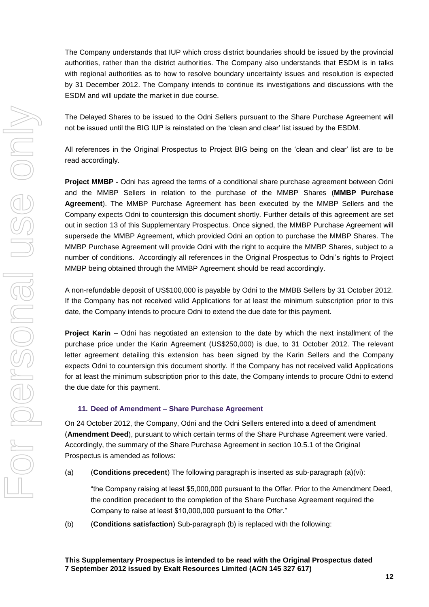The Company understands that IUP which cross district boundaries should be issued by the provincial authorities, rather than the district authorities. The Company also understands that ESDM is in talks with regional authorities as to how to resolve boundary uncertainty issues and resolution is expected by 31 December 2012. The Company intends to continue its investigations and discussions with the ESDM and will update the market in due course.

The Delayed Shares to be issued to the Odni Sellers pursuant to the Share Purchase Agreement will not be issued until the BIG IUP is reinstated on the 'clean and clear' list issued by the ESDM.

All references in the Original Prospectus to Project BIG being on the 'clean and clear' list are to be read accordingly.

**Project MMBP -** Odni has agreed the terms of a conditional share purchase agreement between Odni and the MMBP Sellers in relation to the purchase of the MMBP Shares (**MMBP Purchase Agreement**). The MMBP Purchase Agreement has been executed by the MMBP Sellers and the Company expects Odni to countersign this document shortly. Further details of this agreement are set out in section 13 of this Supplementary Prospectus. Once signed, the MMBP Purchase Agreement will supersede the MMBP Agreement, which provided Odni an option to purchase the MMBP Shares. The MMBP Purchase Agreement will provide Odni with the right to acquire the MMBP Shares, subject to a number of conditions. Accordingly all references in the Original Prospectus to Odni's rights to Project MMBP being obtained through the MMBP Agreement should be read accordingly.

A non-refundable deposit of US\$100,000 is payable by Odni to the MMBB Sellers by 31 October 2012. If the Company has not received valid Applications for at least the minimum subscription prior to this date, the Company intends to procure Odni to extend the due date for this payment.

**Project Karin** – Odni has negotiated an extension to the date by which the next installment of the purchase price under the Karin Agreement (US\$250,000) is due, to 31 October 2012. The relevant letter agreement detailing this extension has been signed by the Karin Sellers and the Company expects Odni to countersign this document shortly. If the Company has not received valid Applications for at least the minimum subscription prior to this date, the Company intends to procure Odni to extend the due date for this payment.

#### **11. Deed of Amendment – Share Purchase Agreement**

On 24 October 2012, the Company, Odni and the Odni Sellers entered into a deed of amendment (**Amendment Deed**), pursuant to which certain terms of the Share Purchase Agreement were varied. Accordingly, the summary of the Share Purchase Agreement in section 10.5.1 of the Original Prospectus is amended as follows:

(a) (**Conditions precedent**) The following paragraph is inserted as sub-paragraph (a)(vi):

"the Company raising at least \$5,000,000 pursuant to the Offer. Prior to the Amendment Deed, the condition precedent to the completion of the Share Purchase Agreement required the Company to raise at least \$10,000,000 pursuant to the Offer."

(b) (**Conditions satisfaction**) Sub-paragraph (b) is replaced with the following: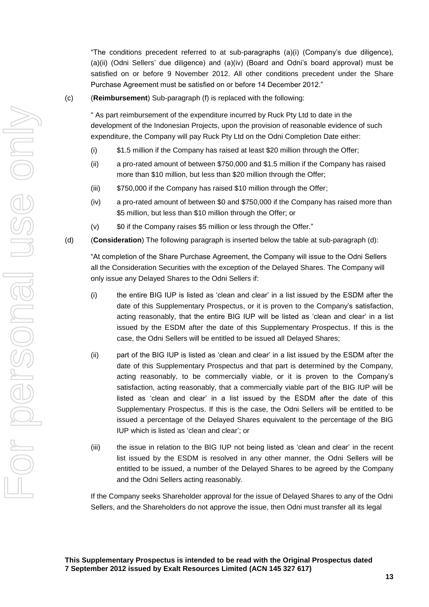"The conditions precedent referred to at sub-paragraphs (a)(i) (Company's due diligence), (a)(ii) (Odni Sellers' due diligence) and (a)(iv) (Board and Odni's board approval) must be satisfied on or before 9 November 2012. All other conditions precedent under the Share Purchase Agreement must be satisfied on or before 14 December 2012."

#### (c) (**Reimbursement**) Sub-paragraph (f) is replaced with the following:

" As part reimbursement of the expenditure incurred by Ruck Pty Ltd to date in the development of the Indonesian Projects, upon the provision of reasonable evidence of such expenditure, the Company will pay Ruck Pty Ltd on the Odni Completion Date either:

- (i) \$1.5 million if the Company has raised at least \$20 million through the Offer;
- (ii) a pro-rated amount of between \$750,000 and \$1.5 million if the Company has raised more than \$10 million, but less than \$20 million through the Offer;
- (iii) \$750,000 if the Company has raised \$10 million through the Offer;
- (iv) a pro-rated amount of between \$0 and \$750,000 if the Company has raised more than \$5 million, but less than \$10 million through the Offer; or
- (v) \$0 if the Company raises \$5 million or less through the Offer."
- (d) (**Consideration**) The following paragraph is inserted below the table at sub-paragraph (d):

"At completion of the Share Purchase Agreement, the Company will issue to the Odni Sellers all the Consideration Securities with the exception of the Delayed Shares. The Company will only issue any Delayed Shares to the Odni Sellers if:

- (i) the entire BIG IUP is listed as 'clean and clear' in a list issued by the ESDM after the date of this Supplementary Prospectus, or it is proven to the Company's satisfaction, acting reasonably, that the entire BIG IUP will be listed as 'clean and clear' in a list issued by the ESDM after the date of this Supplementary Prospectus. If this is the case, the Odni Sellers will be entitled to be issued all Delayed Shares;
- (ii) part of the BIG IUP is listed as 'clean and clear' in a list issued by the ESDM after the date of this Supplementary Prospectus and that part is determined by the Company, acting reasonably, to be commercially viable, or it is proven to the Company's satisfaction, acting reasonably, that a commercially viable part of the BIG IUP will be listed as 'clean and clear' in a list issued by the ESDM after the date of this Supplementary Prospectus. If this is the case, the Odni Sellers will be entitled to be issued a percentage of the Delayed Shares equivalent to the percentage of the BIG IUP which is listed as 'clean and clear'; or
- (iii) the issue in relation to the BIG IUP not being listed as 'clean and clear' in the recent list issued by the ESDM is resolved in any other manner, the Odni Sellers will be entitled to be issued, a number of the Delayed Shares to be agreed by the Company and the Odni Sellers acting reasonably.

If the Company seeks Shareholder approval for the issue of Delayed Shares to any of the Odni Sellers, and the Shareholders do not approve the issue, then Odni must transfer all its legal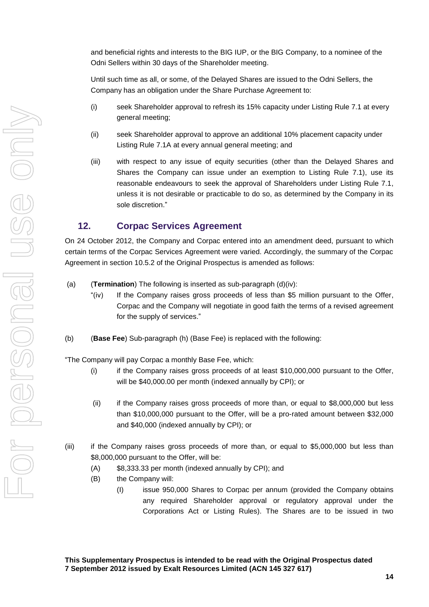and beneficial rights and interests to the BIG IUP, or the BIG Company, to a nominee of the Odni Sellers within 30 days of the Shareholder meeting.

Until such time as all, or some, of the Delayed Shares are issued to the Odni Sellers, the Company has an obligation under the Share Purchase Agreement to:

- (i) seek Shareholder approval to refresh its 15% capacity under Listing Rule 7.1 at every general meeting;
- (ii) seek Shareholder approval to approve an additional 10% placement capacity under Listing Rule 7.1A at every annual general meeting; and
- (iii) with respect to any issue of equity securities (other than the Delayed Shares and Shares the Company can issue under an exemption to Listing Rule 7.1), use its reasonable endeavours to seek the approval of Shareholders under Listing Rule 7.1, unless it is not desirable or practicable to do so, as determined by the Company in its sole discretion."

## **12. Corpac Services Agreement**

On 24 October 2012, the Company and Corpac entered into an amendment deed, pursuant to which certain terms of the Corpac Services Agreement were varied. Accordingly, the summary of the Corpac Agreement in section 10.5.2 of the Original Prospectus is amended as follows:

- (a) (**Termination**) The following is inserted as sub-paragraph (d)(iv):
	- "(iv) If the Company raises gross proceeds of less than \$5 million pursuant to the Offer, Corpac and the Company will negotiate in good faith the terms of a revised agreement for the supply of services."
- (b) (**Base Fee**) Sub-paragraph (h) (Base Fee) is replaced with the following:

"The Company will pay Corpac a monthly Base Fee, which:

- (i) if the Company raises gross proceeds of at least \$10,000,000 pursuant to the Offer, will be \$40,000.00 per month (indexed annually by CPI); or
- (ii) if the Company raises gross proceeds of more than, or equal to \$8,000,000 but less than \$10,000,000 pursuant to the Offer, will be a pro-rated amount between \$32,000 and \$40,000 (indexed annually by CPI); or
- (iii) if the Company raises gross proceeds of more than, or equal to \$5,000,000 but less than \$8,000,000 pursuant to the Offer, will be:
	- (A) \$8,333.33 per month (indexed annually by CPI); and
	- (B) the Company will:
		- (I) issue 950,000 Shares to Corpac per annum (provided the Company obtains any required Shareholder approval or regulatory approval under the Corporations Act or Listing Rules). The Shares are to be issued in two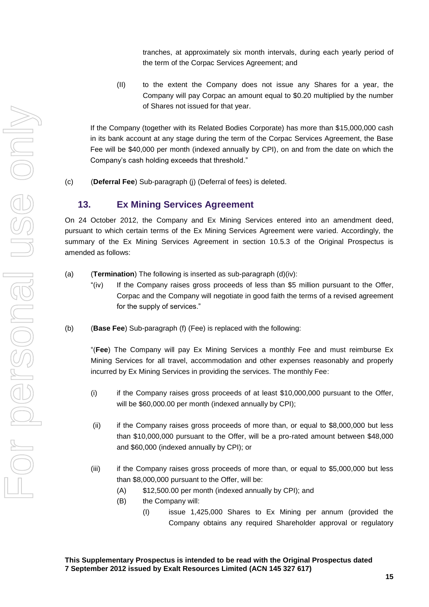tranches, at approximately six month intervals, during each yearly period of the term of the Corpac Services Agreement; and

(II) to the extent the Company does not issue any Shares for a year, the Company will pay Corpac an amount equal to \$0.20 multiplied by the number of Shares not issued for that year.

If the Company (together with its Related Bodies Corporate) has more than \$15,000,000 cash in its bank account at any stage during the term of the Corpac Services Agreement, the Base Fee will be \$40,000 per month (indexed annually by CPI), on and from the date on which the Company's cash holding exceeds that threshold."

(c) (**Deferral Fee**) Sub-paragraph (j) (Deferral of fees) is deleted.

## **13. Ex Mining Services Agreement**

On 24 October 2012, the Company and Ex Mining Services entered into an amendment deed, pursuant to which certain terms of the Ex Mining Services Agreement were varied. Accordingly, the summary of the Ex Mining Services Agreement in section 10.5.3 of the Original Prospectus is amended as follows:

- (a) (**Termination**) The following is inserted as sub-paragraph (d)(iv):
	- "(iv) If the Company raises gross proceeds of less than \$5 million pursuant to the Offer, Corpac and the Company will negotiate in good faith the terms of a revised agreement for the supply of services."
- (b) (**Base Fee**) Sub-paragraph (f) (Fee) is replaced with the following:

"(**Fee**) The Company will pay Ex Mining Services a monthly Fee and must reimburse Ex Mining Services for all travel, accommodation and other expenses reasonably and properly incurred by Ex Mining Services in providing the services. The monthly Fee:

- (i) if the Company raises gross proceeds of at least \$10,000,000 pursuant to the Offer, will be \$60,000.00 per month (indexed annually by CPI);
- (ii) if the Company raises gross proceeds of more than, or equal to \$8,000,000 but less than \$10,000,000 pursuant to the Offer, will be a pro-rated amount between \$48,000 and \$60,000 (indexed annually by CPI); or
- (iii) if the Company raises gross proceeds of more than, or equal to \$5,000,000 but less than \$8,000,000 pursuant to the Offer, will be:
	- (A) \$12,500.00 per month (indexed annually by CPI); and
	- (B) the Company will:
		- (I) issue 1,425,000 Shares to Ex Mining per annum (provided the Company obtains any required Shareholder approval or regulatory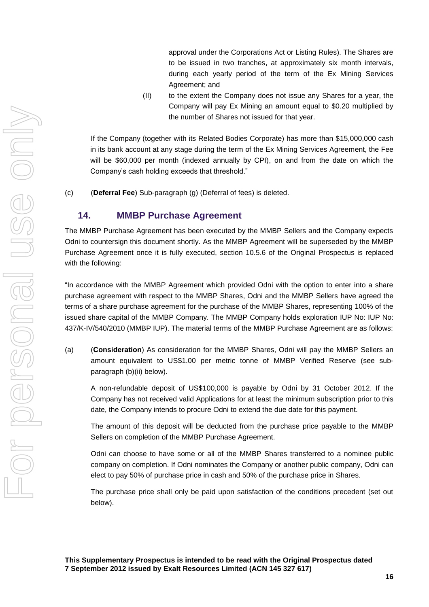approval under the Corporations Act or Listing Rules). The Shares are to be issued in two tranches, at approximately six month intervals, during each yearly period of the term of the Ex Mining Services Agreement; and

(II) to the extent the Company does not issue any Shares for a year, the Company will pay Ex Mining an amount equal to \$0.20 multiplied by the number of Shares not issued for that year.

If the Company (together with its Related Bodies Corporate) has more than \$15,000,000 cash in its bank account at any stage during the term of the Ex Mining Services Agreement, the Fee will be \$60,000 per month (indexed annually by CPI), on and from the date on which the Company's cash holding exceeds that threshold."

(c) (**Deferral Fee**) Sub-paragraph (g) (Deferral of fees) is deleted.

## **14. MMBP Purchase Agreement**

The MMBP Purchase Agreement has been executed by the MMBP Sellers and the Company expects Odni to countersign this document shortly. As the MMBP Agreement will be superseded by the MMBP Purchase Agreement once it is fully executed, section 10.5.6 of the Original Prospectus is replaced with the following:

"In accordance with the MMBP Agreement which provided Odni with the option to enter into a share purchase agreement with respect to the MMBP Shares, Odni and the MMBP Sellers have agreed the terms of a share purchase agreement for the purchase of the MMBP Shares, representing 100% of the issued share capital of the MMBP Company. The MMBP Company holds exploration IUP No: IUP No: 437/K-IV/540/2010 (MMBP IUP). The material terms of the MMBP Purchase Agreement are as follows:

(a) (**Consideration**) As consideration for the MMBP Shares, Odni will pay the MMBP Sellers an amount equivalent to US\$1.00 per metric tonne of MMBP Verified Reserve (see subparagraph (b)(ii) below).

A non-refundable deposit of US\$100,000 is payable by Odni by 31 October 2012. If the Company has not received valid Applications for at least the minimum subscription prior to this date, the Company intends to procure Odni to extend the due date for this payment.

The amount of this deposit will be deducted from the purchase price payable to the MMBP Sellers on completion of the MMBP Purchase Agreement.

Odni can choose to have some or all of the MMBP Shares transferred to a nominee public company on completion. If Odni nominates the Company or another public company, Odni can elect to pay 50% of purchase price in cash and 50% of the purchase price in Shares.

The purchase price shall only be paid upon satisfaction of the conditions precedent (set out below).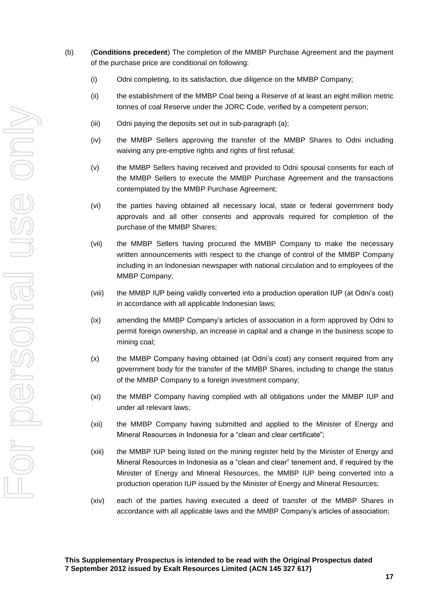- (b) (**Conditions precedent**) The completion of the MMBP Purchase Agreement and the payment of the purchase price are conditional on following:
	- (i) Odni completing, to its satisfaction, due diligence on the MMBP Company;
	- (ii) the establishment of the MMBP Coal being a Reserve of at least an eight million metric tonnes of coal Reserve under the JORC Code, verified by a competent person;
	- (iii) Odni paying the deposits set out in sub-paragraph (a);
	- (iv) the MMBP Sellers approving the transfer of the MMBP Shares to Odni including waiving any pre-emptive rights and rights of first refusal;
	- (v) the MMBP Sellers having received and provided to Odni spousal consents for each of the MMBP Sellers to execute the MMBP Purchase Agreement and the transactions contemplated by the MMBP Purchase Agreement;
	- (vi) the parties having obtained all necessary local, state or federal government body approvals and all other consents and approvals required for completion of the purchase of the MMBP Shares;
	- (vii) the MMBP Sellers having procured the MMBP Company to make the necessary written announcements with respect to the change of control of the MMBP Company including in an Indonesian newspaper with national circulation and to employees of the MMBP Company;
	- (viii) the MMBP IUP being validly converted into a production operation IUP (at Odni's cost) in accordance with all applicable Indonesian laws;
	- (ix) amending the MMBP Company's articles of association in a form approved by Odni to permit foreign ownership, an increase in capital and a change in the business scope to mining coal;
	- (x) the MMBP Company having obtained (at Odni's cost) any consent required from any government body for the transfer of the MMBP Shares, including to change the status of the MMBP Company to a foreign investment company;
	- (xi) the MMBP Company having complied with all obligations under the MMBP IUP and under all relevant laws;
	- (xii) the MMBP Company having submitted and applied to the Minister of Energy and Mineral Resources in Indonesia for a "clean and clear certificate";
	- (xiii) the MMBP IUP being listed on the mining register held by the Minister of Energy and Mineral Resources in Indonesia as a "clean and clear" tenement and, if required by the Minister of Energy and Mineral Resources, the MMBP IUP being converted into a production operation IUP issued by the Minister of Energy and Mineral Resources;
	- (xiv) each of the parties having executed a deed of transfer of the MMBP Shares in accordance with all applicable laws and the MMBP Company's articles of association;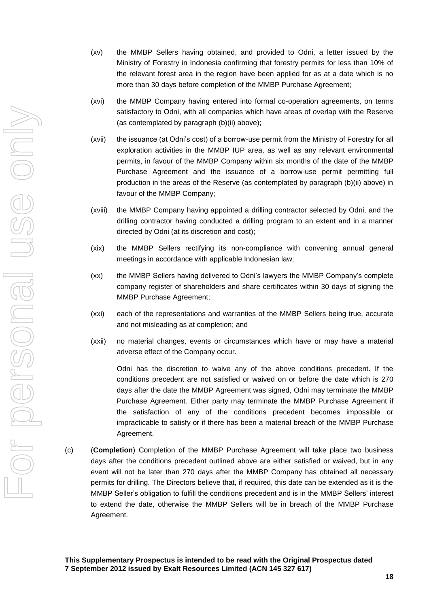- (xv) the MMBP Sellers having obtained, and provided to Odni, a letter issued by the Ministry of Forestry in Indonesia confirming that forestry permits for less than 10% of the relevant forest area in the region have been applied for as at a date which is no more than 30 days before completion of the MMBP Purchase Agreement;
- (xvi) the MMBP Company having entered into formal co-operation agreements, on terms satisfactory to Odni, with all companies which have areas of overlap with the Reserve (as contemplated by paragraph (b)(ii) above);
- (xvii) the issuance (at Odni's cost) of a borrow-use permit from the Ministry of Forestry for all exploration activities in the MMBP IUP area, as well as any relevant environmental permits, in favour of the MMBP Company within six months of the date of the MMBP Purchase Agreement and the issuance of a borrow-use permit permitting full production in the areas of the Reserve (as contemplated by paragraph (b)(ii) above) in favour of the MMBP Company;
- (xviii) the MMBP Company having appointed a drilling contractor selected by Odni, and the drilling contractor having conducted a drilling program to an extent and in a manner directed by Odni (at its discretion and cost);
- (xix) the MMBP Sellers rectifying its non-compliance with convening annual general meetings in accordance with applicable Indonesian law;
- (xx) the MMBP Sellers having delivered to Odni's lawyers the MMBP Company's complete company register of shareholders and share certificates within 30 days of signing the MMBP Purchase Agreement;
- (xxi) each of the representations and warranties of the MMBP Sellers being true, accurate and not misleading as at completion; and
- (xxii) no material changes, events or circumstances which have or may have a material adverse effect of the Company occur.

Odni has the discretion to waive any of the above conditions precedent. If the conditions precedent are not satisfied or waived on or before the date which is 270 days after the date the MMBP Agreement was signed, Odni may terminate the MMBP Purchase Agreement. Either party may terminate the MMBP Purchase Agreement if the satisfaction of any of the conditions precedent becomes impossible or impracticable to satisfy or if there has been a material breach of the MMBP Purchase Agreement.

(c) (**Completion**) Completion of the MMBP Purchase Agreement will take place two business days after the conditions precedent outlined above are either satisfied or waived, but in any event will not be later than 270 days after the MMBP Company has obtained all necessary permits for drilling. The Directors believe that, if required, this date can be extended as it is the MMBP Seller's obligation to fulfill the conditions precedent and is in the MMBP Sellers' interest to extend the date, otherwise the MMBP Sellers will be in breach of the MMBP Purchase Agreement.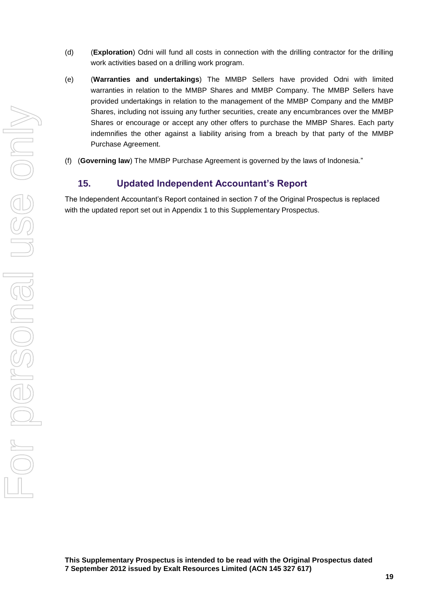- (d) (**Exploration**) Odni will fund all costs in connection with the drilling contractor for the drilling work activities based on a drilling work program.
- (e) (**Warranties and undertakings**) The MMBP Sellers have provided Odni with limited warranties in relation to the MMBP Shares and MMBP Company. The MMBP Sellers have provided undertakings in relation to the management of the MMBP Company and the MMBP Shares, including not issuing any further securities, create any encumbrances over the MMBP Shares or encourage or accept any other offers to purchase the MMBP Shares. Each party indemnifies the other against a liability arising from a breach by that party of the MMBP Purchase Agreement.
- (f) (**Governing law**) The MMBP Purchase Agreement is governed by the laws of Indonesia."

## **15. Updated Independent Accountant's Report**

The Independent Accountant's Report contained in section 7 of the Original Prospectus is replaced with the updated report set out in Appendix 1 to this Supplementary Prospectus.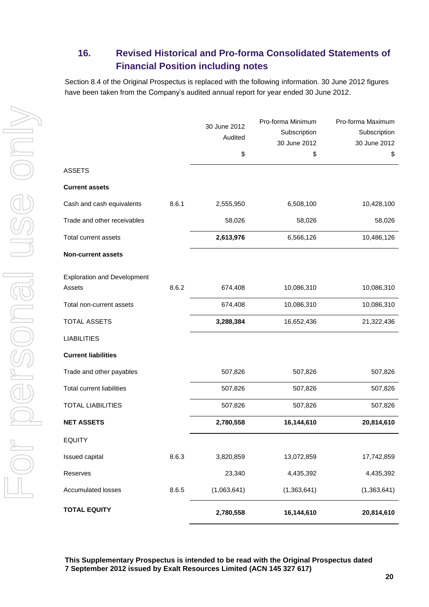## **16. Revised Historical and Pro-forma Consolidated Statements of Financial Position including notes**

Section 8.4 of the Original Prospectus is replaced with the following information. 30 June 2012 figures have been taken from the Company's audited annual report for year ended 30 June 2012.

|                                    |       | 30 June 2012<br>Audited<br>\$ | Pro-forma Minimum<br>Subscription<br>30 June 2012<br>\$ | Pro-forma Maximum<br>Subscription<br>30 June 2012<br>\$ |
|------------------------------------|-------|-------------------------------|---------------------------------------------------------|---------------------------------------------------------|
| ASSETS                             |       |                               |                                                         |                                                         |
| <b>Current assets</b>              |       |                               |                                                         |                                                         |
| Cash and cash equivalents          | 8.6.1 | 2,555,950                     | 6,508,100                                               | 10,428,100                                              |
| Trade and other receivables        |       | 58,026                        | 58,026                                                  | 58,026                                                  |
| Total current assets               |       | 2,613,976                     | 6,566,126                                               | 10,486,126                                              |
| <b>Non-current assets</b>          |       |                               |                                                         |                                                         |
| <b>Exploration and Development</b> |       |                               |                                                         |                                                         |
| Assets                             | 8.6.2 | 674,408                       | 10,086,310                                              | 10,086,310                                              |
| Total non-current assets           |       | 674,408                       | 10,086,310                                              | 10,086,310                                              |
| <b>TOTAL ASSETS</b>                |       | 3,288,384                     | 16,652,436                                              | 21,322,436                                              |
| <b>LIABILITIES</b>                 |       |                               |                                                         |                                                         |
| <b>Current liabilities</b>         |       |                               |                                                         |                                                         |
| Trade and other payables           |       | 507,826                       | 507,826                                                 | 507,826                                                 |
| <b>Total current liabilities</b>   |       | 507,826                       | 507,826                                                 | 507,826                                                 |
| <b>TOTAL LIABILITIES</b>           |       | 507,826                       | 507,826                                                 | 507,826                                                 |
| <b>NET ASSETS</b>                  |       | 2,780,558                     | 16,144,610                                              | 20,814,610                                              |
| EQUITY                             |       |                               |                                                         |                                                         |
| <b>Issued capital</b>              | 8.6.3 | 3,820,859                     | 13,072,859                                              | 17,742,859                                              |
| Reserves                           |       | 23,340                        | 4,435,392                                               | 4,435,392                                               |
| <b>Accumulated losses</b>          | 8.6.5 | (1,063,641)                   | (1,363,641)                                             | (1,363,641)                                             |
| <b>TOTAL EQUITY</b>                |       | 2,780,558                     | 16,144,610                                              | 20,814,610                                              |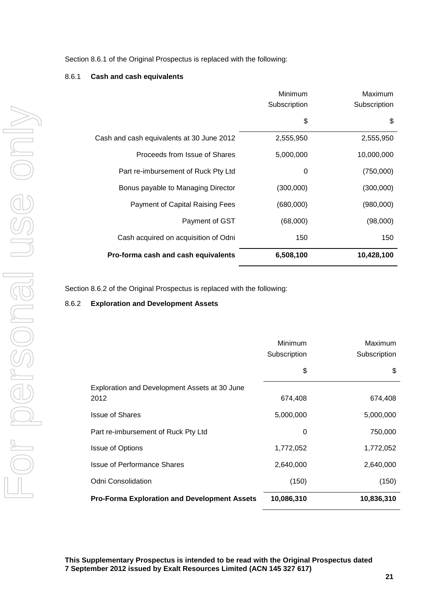Section 8.6.1 of the Original Prospectus is replaced with the following:

#### 8.6.1 **Cash and cash equivalents**

|                                           | Minimum<br>Subscription | Maximum<br>Subscription |
|-------------------------------------------|-------------------------|-------------------------|
|                                           | \$                      | \$                      |
| Cash and cash equivalents at 30 June 2012 | 2,555,950               | 2,555,950               |
| Proceeds from Issue of Shares             | 5,000,000               | 10,000,000              |
| Part re-imbursement of Ruck Pty Ltd       | 0                       | (750,000)               |
| Bonus payable to Managing Director        | (300,000)               | (300,000)               |
| Payment of Capital Raising Fees           | (680,000)               | (980,000)               |
| Payment of GST                            | (68,000)                | (98,000)                |
| Cash acquired on acquisition of Odni      | 150                     | 150                     |
| Pro-forma cash and cash equivalents       | 6,508,100               | 10,428,100              |

Section 8.6.2 of the Original Prospectus is replaced with the following:

#### 8.6.2 **Exploration and Development Assets**

|                                                     | Minimum<br>Subscription | Maximum<br>Subscription |
|-----------------------------------------------------|-------------------------|-------------------------|
|                                                     | \$                      | \$                      |
| Exploration and Development Assets at 30 June       |                         |                         |
| 2012                                                | 674,408                 | 674,408                 |
| <b>Issue of Shares</b>                              | 5,000,000               | 5,000,000               |
| Part re-imbursement of Ruck Pty Ltd                 | 0                       | 750,000                 |
| <b>Issue of Options</b>                             | 1,772,052               | 1,772,052               |
| <b>Issue of Performance Shares</b>                  | 2,640,000               | 2,640,000               |
| <b>Odni Consolidation</b>                           | (150)                   | (150)                   |
| <b>Pro-Forma Exploration and Development Assets</b> | 10,086,310              | 10,836,310              |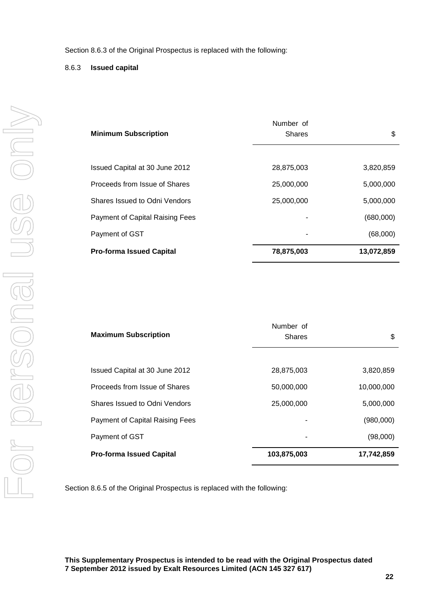#### 8.6.3 **Issued capital**

| <b>Minimum Subscription</b>     | Number of<br><b>Shares</b> | \$         |
|---------------------------------|----------------------------|------------|
|                                 |                            |            |
| Issued Capital at 30 June 2012  | 28,875,003                 | 3,820,859  |
| Proceeds from Issue of Shares   | 25,000,000                 | 5,000,000  |
| Shares Issued to Odni Vendors   | 25,000,000                 | 5,000,000  |
| Payment of Capital Raising Fees |                            | (680,000)  |
| Payment of GST                  | ٠                          | (68,000)   |
| <b>Pro-forma Issued Capital</b> | 78,875,003                 | 13,072,859 |

| <b>Maximum Subscription</b>     | Number of<br><b>Shares</b> | \$         |
|---------------------------------|----------------------------|------------|
|                                 |                            |            |
| Issued Capital at 30 June 2012  | 28,875,003                 | 3,820,859  |
| Proceeds from Issue of Shares   | 50,000,000                 | 10,000,000 |
| Shares Issued to Odni Vendors   | 25,000,000                 | 5,000,000  |
| Payment of Capital Raising Fees |                            | (980,000)  |
| Payment of GST                  | ۰                          | (98,000)   |
| <b>Pro-forma Issued Capital</b> | 103,875,003                | 17,742,859 |

Section 8.6.5 of the Original Prospectus is replaced with the following: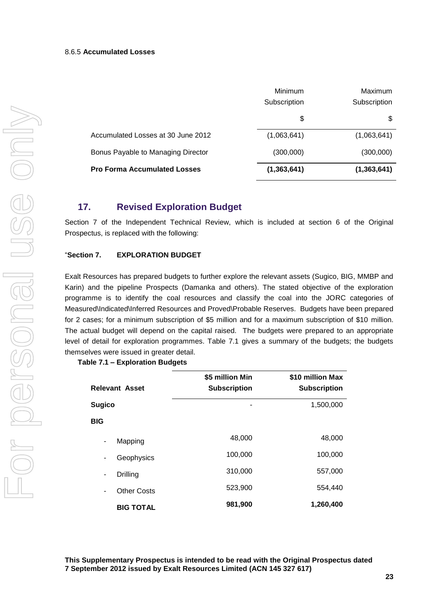|                                     | Minimum<br>Subscription | Maximum<br>Subscription |
|-------------------------------------|-------------------------|-------------------------|
|                                     | \$                      | S                       |
|                                     |                         |                         |
| Accumulated Losses at 30 June 2012  | (1,063,641)             | (1,063,641)             |
| Bonus Payable to Managing Director  | (300,000)               | (300,000)               |
| <b>Pro Forma Accumulated Losses</b> | (1, 363, 641)           | (1, 363, 641)           |

## **17. Revised Exploration Budget**

Section 7 of the Independent Technical Review, which is included at section 6 of the Original Prospectus, is replaced with the following:

#### "**Section 7. EXPLORATION BUDGET**

Exalt Resources has prepared budgets to further explore the relevant assets (Sugico, BIG, MMBP and Karin) and the pipeline Prospects (Damanka and others). The stated objective of the exploration programme is to identify the coal resources and classify the coal into the JORC categories of Measured\Indicated\Inferred Resources and Proved\Probable Reserves. Budgets have been prepared for 2 cases; for a minimum subscription of \$5 million and for a maximum subscription of \$10 million. The actual budget will depend on the capital raised. The budgets were prepared to an appropriate level of detail for exploration programmes. Table 7.1 gives a summary of the budgets; the budgets themselves were issued in greater detail.

**Table 7.1 – Exploration Budgets**

| <b>Relevant Asset</b>   | \$5 million Min<br><b>Subscription</b> | \$10 million Max<br><b>Subscription</b> |
|-------------------------|----------------------------------------|-----------------------------------------|
| <b>Sugico</b>           | ۰                                      | 1,500,000                               |
| <b>BIG</b>              |                                        |                                         |
| Mapping<br>۰            | 48,000                                 | 48,000                                  |
| Geophysics<br>٠         | 100,000                                | 100,000                                 |
| Drilling<br>٠           | 310,000                                | 557,000                                 |
| <b>Other Costs</b><br>۰ | 523,900                                | 554,440                                 |
| <b>BIG TOTAL</b>        | 981,900                                | 1,260,400                               |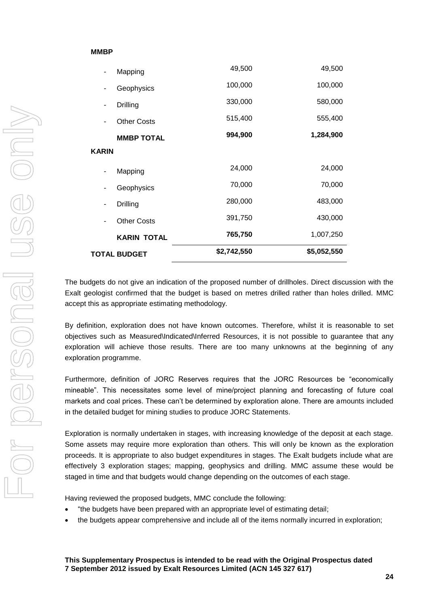#### **MMBP**

|                          | <b>TOTAL BUDGET</b> | \$2,742,550 | \$5,052,550 |
|--------------------------|---------------------|-------------|-------------|
|                          | <b>KARIN TOTAL</b>  | 765,750     | 1,007,250   |
| ۰                        | <b>Other Costs</b>  | 391,750     | 430,000     |
| ٠                        | Drilling            | 280,000     | 483,000     |
| ۰                        | Geophysics          | 70,000      | 70,000      |
| $\overline{\phantom{a}}$ | Mapping             | 24,000      | 24,000      |
| <b>KARIN</b>             |                     |             |             |
|                          | <b>MMBP TOTAL</b>   | 994,900     | 1,284,900   |
|                          | <b>Other Costs</b>  | 515,400     | 555,400     |
| -                        | Drilling            | 330,000     | 580,000     |
| ٠                        | Geophysics          | 100,000     | 100,000     |
|                          | Mapping             | 49,500      | 49,500      |

The budgets do not give an indication of the proposed number of drillholes. Direct discussion with the Exalt geologist confirmed that the budget is based on metres drilled rather than holes drilled. MMC accept this as appropriate estimating methodology.

By definition, exploration does not have known outcomes. Therefore, whilst it is reasonable to set objectives such as Measured\Indicated\Inferred Resources, it is not possible to guarantee that any exploration will achieve those results. There are too many unknowns at the beginning of any exploration programme.

Furthermore, definition of JORC Reserves requires that the JORC Resources be "economically mineable". This necessitates some level of mine/project planning and forecasting of future coal markets and coal prices. These can't be determined by exploration alone. There are amounts included in the detailed budget for mining studies to produce JORC Statements.

Exploration is normally undertaken in stages, with increasing knowledge of the deposit at each stage. Some assets may require more exploration than others. This will only be known as the exploration proceeds. It is appropriate to also budget expenditures in stages. The Exalt budgets include what are effectively 3 exploration stages; mapping, geophysics and drilling. MMC assume these would be staged in time and that budgets would change depending on the outcomes of each stage.

Having reviewed the proposed budgets, MMC conclude the following:

- "the budgets have been prepared with an appropriate level of estimating detail;
- the budgets appear comprehensive and include all of the items normally incurred in exploration;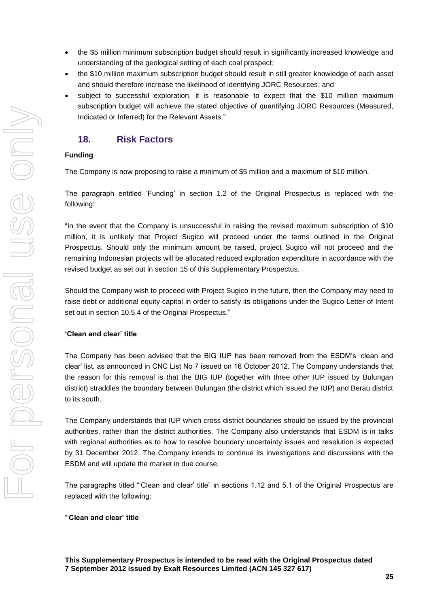- the \$5 million minimum subscription budget should result in significantly increased knowledge and understanding of the geological setting of each coal prospect;
- the \$10 million maximum subscription budget should result in still greater knowledge of each asset and should therefore increase the likelihood of identifying JORC Resources; and
- subject to successful exploration, it is reasonable to expect that the \$10 million maximum subscription budget will achieve the stated objective of quantifying JORC Resources (Measured, Indicated or Inferred) for the Relevant Assets."

## **18. Risk Factors**

## **Funding**

The Company is now proposing to raise a minimum of \$5 million and a maximum of \$10 million.

The paragraph entitled 'Funding' in section 1.2 of the Original Prospectus is replaced with the following:

"In the event that the Company is unsuccessful in raising the revised maximum subscription of \$10 million, it is unlikely that Project Sugico will proceed under the terms outlined in the Original Prospectus. Should only the minimum amount be raised, project Sugico will not proceed and the remaining Indonesian projects will be allocated reduced exploration expenditure in accordance with the revised budget as set out in section 15 of this Supplementary Prospectus.

Should the Company wish to proceed with Project Sugico in the future, then the Company may need to raise debt or additional equity capital in order to satisfy its obligations under the Sugico Letter of Intent set out in section 10.5.4 of the Original Prospectus."

#### **'Clean and clear' title**

The Company has been advised that the BIG IUP has been removed from the ESDM's 'clean and clear' list, as announced in CNC List No 7 issued on 16 October 2012. The Company understands that the reason for this removal is that the BIG IUP (together with three other IUP issued by Bulungan district) straddles the boundary between Bulungan (the district which issued the IUP) and Berau district to its south.

The Company understands that IUP which cross district boundaries should be issued by the provincial authorities, rather than the district authorities. The Company also understands that ESDM is in talks with regional authorities as to how to resolve boundary uncertainty issues and resolution is expected by 31 December 2012. The Company intends to continue its investigations and discussions with the ESDM and will update the market in due course.

The paragraphs titled "'Clean and clear' title" in sections 1.12 and 5.1 of the Original Prospectus are replaced with the following:

#### "'**Clean and clear' title**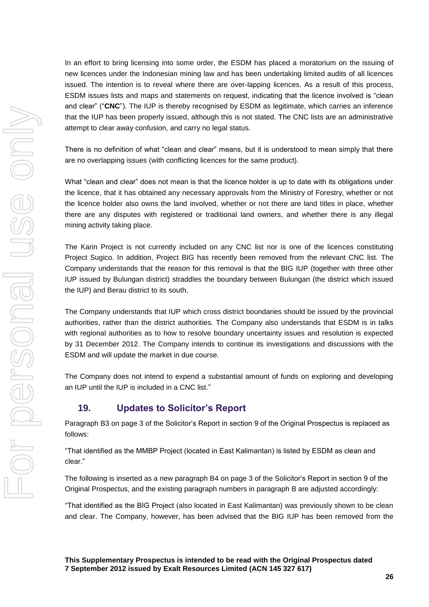In an effort to bring licensing into some order, the ESDM has placed a moratorium on the issuing of new licences under the Indonesian mining law and has been undertaking limited audits of all licences issued. The intention is to reveal where there are over-lapping licences. As a result of this process, ESDM issues lists and maps and statements on request, indicating that the licence involved is "clean and clear" ("**CNC**"). The IUP is thereby recognised by ESDM as legitimate, which carries an inference that the IUP has been properly issued, although this is not stated. The CNC lists are an administrative attempt to clear away confusion, and carry no legal status.

There is no definition of what "clean and clear" means, but it is understood to mean simply that there are no overlapping issues (with conflicting licences for the same product).

What "clean and clear" does not mean is that the licence holder is up to date with its obligations under the licence, that it has obtained any necessary approvals from the Ministry of Forestry, whether or not the licence holder also owns the land involved, whether or not there are land titles in place, whether there are any disputes with registered or traditional land owners, and whether there is any illegal mining activity taking place.

The Karin Project is not currently included on any CNC list nor is one of the licences constituting Project Sugico. In addition, Project BIG has recently been removed from the relevant CNC list. The Company understands that the reason for this removal is that the BIG IUP (together with three other IUP issued by Bulungan district) straddles the boundary between Bulungan (the district which issued the IUP) and Berau district to its south.

The Company understands that IUP which cross district boundaries should be issued by the provincial authorities, rather than the district authorities. The Company also understands that ESDM is in talks with regional authorities as to how to resolve boundary uncertainty issues and resolution is expected by 31 December 2012. The Company intends to continue its investigations and discussions with the ESDM and will update the market in due course.

The Company does not intend to expend a substantial amount of funds on exploring and developing an IUP until the IUP is included in a CNC list."

## **19. Updates to Solicitor's Report**

Paragraph B3 on page 3 of the Solicitor's Report in section 9 of the Original Prospectus is replaced as follows:

"That identified as the MMBP Project (located in East Kalimantan) is listed by ESDM as clean and clear."

The following is inserted as a new paragraph B4 on page 3 of the Solicitor's Report in section 9 of the Original Prospectus, and the existing paragraph numbers in paragraph B are adjusted accordingly:

"That identified as the BIG Project (also located in East Kalimantan) was previously shown to be clean and clear. The Company, however, has been advised that the BIG IUP has been removed from the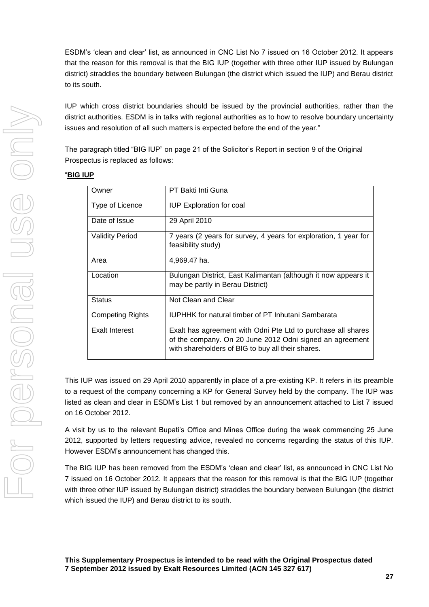ESDM's 'clean and clear' list, as announced in CNC List No 7 issued on 16 October 2012. It appears that the reason for this removal is that the BIG IUP (together with three other IUP issued by Bulungan district) straddles the boundary between Bulungan (the district which issued the IUP) and Berau district to its south.

IUP which cross district boundaries should be issued by the provincial authorities, rather than the district authorities. ESDM is in talks with regional authorities as to how to resolve boundary uncertainty issues and resolution of all such matters is expected before the end of the year."

The paragraph titled "BIG IUP" on page 21 of the Solicitor's Report in section 9 of the Original Prospectus is replaced as follows:

#### "**BIG IUP**

| Owner                   | PT Bakti Inti Guna                                                                                                                                                            |
|-------------------------|-------------------------------------------------------------------------------------------------------------------------------------------------------------------------------|
| Type of Licence         | <b>IUP Exploration for coal</b>                                                                                                                                               |
| Date of Issue           | 29 April 2010                                                                                                                                                                 |
| <b>Validity Period</b>  | 7 years (2 years for survey, 4 years for exploration, 1 year for<br>feasibility study)                                                                                        |
| Area                    | 4,969.47 ha.                                                                                                                                                                  |
| Location                | Bulungan District, East Kalimantan (although it now appears it<br>may be partly in Berau District)                                                                            |
| <b>Status</b>           | Not Clean and Clear                                                                                                                                                           |
| <b>Competing Rights</b> | <b>IUPHHK</b> for natural timber of PT Inhutani Sambarata                                                                                                                     |
| Exalt Interest          | Exalt has agreement with Odni Pte Ltd to purchase all shares<br>of the company. On 20 June 2012 Odni signed an agreement<br>with shareholders of BIG to buy all their shares. |

This IUP was issued on 29 April 2010 apparently in place of a pre-existing KP. It refers in its preamble to a request of the company concerning a KP for General Survey held by the company. The IUP was listed as clean and clear in ESDM's List 1 but removed by an announcement attached to List 7 issued on 16 October 2012.

A visit by us to the relevant Bupati's Office and Mines Office during the week commencing 25 June 2012, supported by letters requesting advice, revealed no concerns regarding the status of this IUP. However ESDM's announcement has changed this.

The BIG IUP has been removed from the ESDM's 'clean and clear' list, as announced in CNC List No 7 issued on 16 October 2012. It appears that the reason for this removal is that the BIG IUP (together with three other IUP issued by Bulungan district) straddles the boundary between Bulungan (the district which issued the IUP) and Berau district to its south.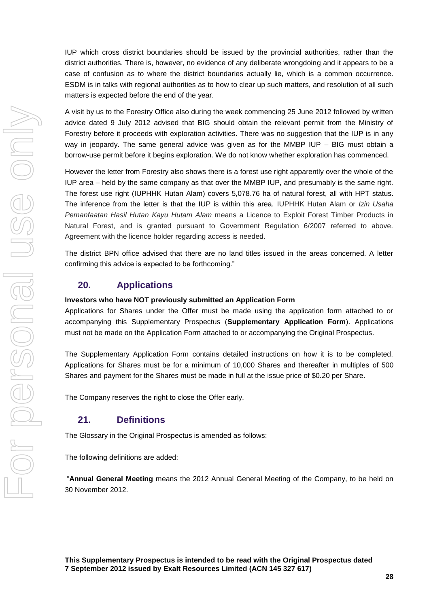IUP which cross district boundaries should be issued by the provincial authorities, rather than the district authorities. There is, however, no evidence of any deliberate wrongdoing and it appears to be a case of confusion as to where the district boundaries actually lie, which is a common occurrence. ESDM is in talks with regional authorities as to how to clear up such matters, and resolution of all such matters is expected before the end of the year.

A visit by us to the Forestry Office also during the week commencing 25 June 2012 followed by written advice dated 9 July 2012 advised that BIG should obtain the relevant permit from the Ministry of Forestry before it proceeds with exploration activities. There was no suggestion that the IUP is in any way in jeopardy. The same general advice was given as for the MMBP IUP – BIG must obtain a borrow-use permit before it begins exploration. We do not know whether exploration has commenced.

However the letter from Forestry also shows there is a forest use right apparently over the whole of the IUP area – held by the same company as that over the MMBP IUP, and presumably is the same right. The forest use right (IUPHHK Hutan Alam) covers 5,078.76 ha of natural forest, all with HPT status. The inference from the letter is that the IUP is within this area. IUPHHK Hutan Alam or *Izin Usaha Pemanfaatan Hasil Hutan Kayu Hutam Alam* means a Licence to Exploit Forest Timber Products in Natural Forest, and is granted pursuant to Government Regulation 6/2007 referred to above. Agreement with the licence holder regarding access is needed.

The district BPN office advised that there are no land titles issued in the areas concerned. A letter confirming this advice is expected to be forthcoming."

## **20. Applications**

#### **Investors who have NOT previously submitted an Application Form**

Applications for Shares under the Offer must be made using the application form attached to or accompanying this Supplementary Prospectus (**Supplementary Application Form**). Applications must not be made on the Application Form attached to or accompanying the Original Prospectus.

The Supplementary Application Form contains detailed instructions on how it is to be completed. Applications for Shares must be for a minimum of 10,000 Shares and thereafter in multiples of 500 Shares and payment for the Shares must be made in full at the issue price of \$0.20 per Share.

The Company reserves the right to close the Offer early.

## **21. Definitions**

The Glossary in the Original Prospectus is amended as follows:

The following definitions are added:

"**Annual General Meeting** means the 2012 Annual General Meeting of the Company, to be held on 30 November 2012.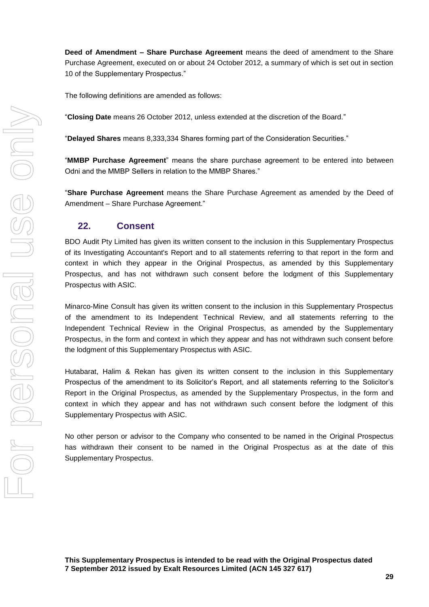**Deed of Amendment – Share Purchase Agreement** means the deed of amendment to the Share Purchase Agreement, executed on or about 24 October 2012, a summary of which is set out in section 10 of the Supplementary Prospectus."

The following definitions are amended as follows:

"**Closing Date** means 26 October 2012, unless extended at the discretion of the Board."

"**Delayed Shares** means 8,333,334 Shares forming part of the Consideration Securities."

"**MMBP Purchase Agreement**" means the share purchase agreement to be entered into between Odni and the MMBP Sellers in relation to the MMBP Shares."

"**Share Purchase Agreement** means the Share Purchase Agreement as amended by the Deed of Amendment – Share Purchase Agreement."

## **22. Consent**

BDO Audit Pty Limited has given its written consent to the inclusion in this Supplementary Prospectus of its Investigating Accountant's Report and to all statements referring to that report in the form and context in which they appear in the Original Prospectus, as amended by this Supplementary Prospectus, and has not withdrawn such consent before the lodgment of this Supplementary Prospectus with ASIC.

Minarco-Mine Consult has given its written consent to the inclusion in this Supplementary Prospectus of the amendment to its Independent Technical Review, and all statements referring to the Independent Technical Review in the Original Prospectus, as amended by the Supplementary Prospectus, in the form and context in which they appear and has not withdrawn such consent before the lodgment of this Supplementary Prospectus with ASIC.

Hutabarat, Halim & Rekan has given its written consent to the inclusion in this Supplementary Prospectus of the amendment to its Solicitor's Report, and all statements referring to the Solicitor's Report in the Original Prospectus, as amended by the Supplementary Prospectus, in the form and context in which they appear and has not withdrawn such consent before the lodgment of this Supplementary Prospectus with ASIC.

No other person or advisor to the Company who consented to be named in the Original Prospectus has withdrawn their consent to be named in the Original Prospectus as at the date of this Supplementary Prospectus.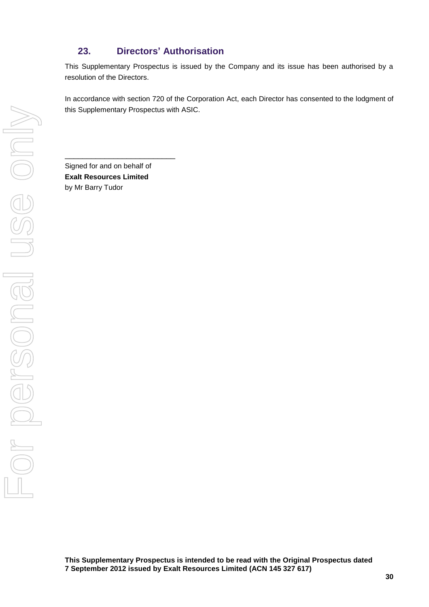## **23. Directors' Authorisation**

This Supplementary Prospectus is issued by the Company and its issue has been authorised by a resolution of the Directors.

In accordance with section 720 of the Corporation Act, each Director has consented to the lodgment of this Supplementary Prospectus with ASIC.

Signed for and on behalf of **Exalt Resources Limited** by Mr Barry Tudor

\_\_\_\_\_\_\_\_\_\_\_\_\_\_\_\_\_\_\_\_\_\_\_\_\_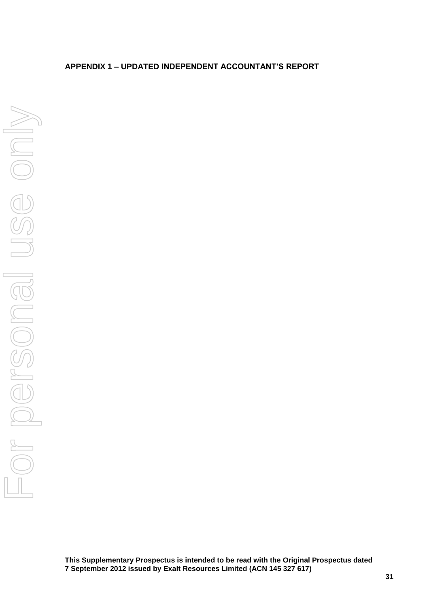## **APPENDIX 1 – UPDATED INDEPENDENT ACCOUNTANT'S REPORT**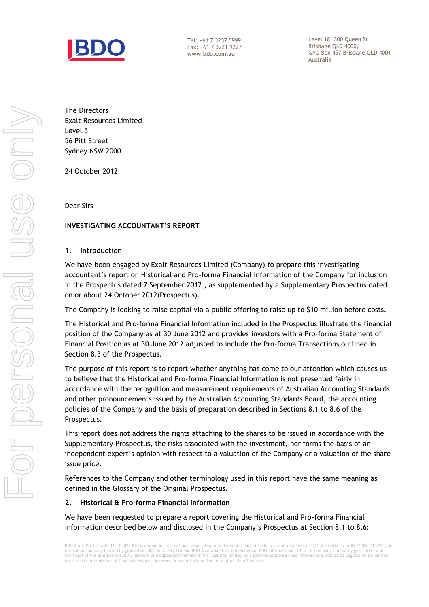

Tel: +61 7 3237 5999 Fax: +61 7 3221 9227 **www.bdo.com.au**

Level 18, 300 Queen St Brisbane QLD 4000, GPO Box 457 Brisbane QLD 4001 Australia

The Directors Exalt Resources Limited Level 5 56 Pitt Street Sydney NSW 2000

24 October 2012

Dear Sirs

#### **INVESTIGATING ACCOUNTANT'S REPORT**

#### **1. Introduction**

We have been engaged by Exalt Resources Limited (Company) to prepare this investigating accountant's report on Historical and Pro-forma Financial Information of the Company for inclusion in the Prospectus dated 7 September 2012 , as supplemented by a Supplementary Prospectus dated on or about 24 October 2012(Prospectus).

The Company is looking to raise capital via a public offering to raise up to \$10 million before costs.

The Historical and Pro-forma Financial Information included in the Prospectus illustrate the financial position of the Company as at 30 June 2012 and provides investors with a Pro-forma Statement of Financial Position as at 30 June 2012 adjusted to include the Pro-forma Transactions outlined in Section 8.3 of the Prospectus.

The purpose of this report is to report whether anything has come to our attention which causes us to believe that the Historical and Pro-forma Financial Information is not presented fairly in accordance with the recognition and measurement requirements of Australian Accounting Standards and other pronouncements issued by the Australian Accounting Standards Board, the accounting policies of the Company and the basis of preparation described in Sections 8.1 to 8.6 of the Prospectus.

This report does not address the rights attaching to the shares to be issued in accordance with the Supplementary Prospectus, the risks associated with the investment, nor forms the basis of an independent expert's opinion with respect to a valuation of the Company or a valuation of the share issue price.

References to the Company and other terminology used in this report have the same meaning as defined in the Glossary of the Original Prospectus.

#### **2. Historical & Pro-forma Financial Information**

We have been requested to prepare a report covering the Historical and Pro-forma Financial Information described below and disclosed in the Company's Prospectus at Section 8.1 to 8.6:

BDO Audit Pty Ltd ABN 33 134 022 870 is a member of a national association of independent entities which are all members of BDO Australia Ltd ABN 77 050 110 275, an Australian company limited by guarantee. BDO Audit Pty Ltd and BDO Australia Ltd are members of BDO International Ltd, a UK company limited by guarantee, and<br>form part of the international BDO network of independent member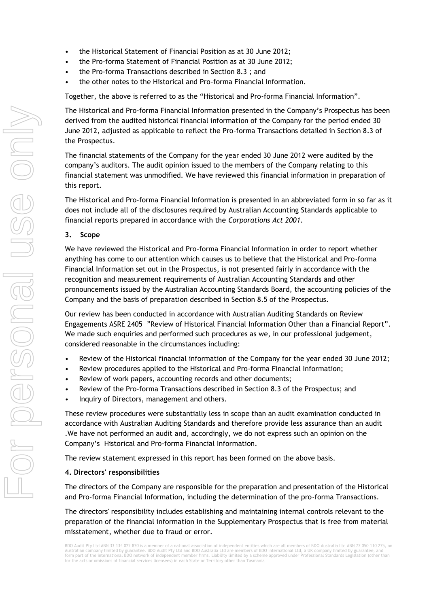- the Historical Statement of Financial Position as at 30 June 2012;
- the Pro-forma Statement of Financial Position as at 30 June 2012;
- the Pro-forma Transactions described in Section 8.3 ; and
- the other notes to the Historical and Pro-forma Financial Information.

Together, the above is referred to as the "Historical and Pro-forma Financial Information".

The Historical and Pro-forma Financial Information presented in the Company's Prospectus has been derived from the audited historical financial information of the Company for the period ended 30 June 2012, adjusted as applicable to reflect the Pro-forma Transactions detailed in Section 8.3 of the Prospectus.

The financial statements of the Company for the year ended 30 June 2012 were audited by the company's auditors. The audit opinion issued to the members of the Company relating to this financial statement was unmodified. We have reviewed this financial information in preparation of this report.

The Historical and Pro-forma Financial Information is presented in an abbreviated form in so far as it does not include all of the disclosures required by Australian Accounting Standards applicable to financial reports prepared in accordance with the *Corporations Act 2001*.

#### **3. Scope**

We have reviewed the Historical and Pro-forma Financial Information in order to report whether anything has come to our attention which causes us to believe that the Historical and Pro-forma Financial Information set out in the Prospectus, is not presented fairly in accordance with the recognition and measurement requirements of Australian Accounting Standards and other pronouncements issued by the Australian Accounting Standards Board, the accounting policies of the Company and the basis of preparation described in Section 8.5 of the Prospectus.

Our review has been conducted in accordance with Australian Auditing Standards on Review Engagements ASRE 2405 "Review of Historical Financial Information Other than a Financial Report". We made such enquiries and performed such procedures as we, in our professional judgement, considered reasonable in the circumstances including:

- Review of the Historical financial information of the Company for the year ended 30 June 2012;
- Review procedures applied to the Historical and Pro-forma Financial Information;
- Review of work papers, accounting records and other documents;
- Review of the Pro-forma Transactions described in Section 8.3 of the Prospectus; and
- Inquiry of Directors, management and others.

These review procedures were substantially less in scope than an audit examination conducted in accordance with Australian Auditing Standards and therefore provide less assurance than an audit .We have not performed an audit and, accordingly, we do not express such an opinion on the Company's Historical and Pro-forma Financial Information.

The review statement expressed in this report has been formed on the above basis.

#### **4. Directors' responsibilities**

The directors of the Company are responsible for the preparation and presentation of the Historical and Pro-forma Financial Information, including the determination of the pro-forma Transactions.

The directors' responsibility includes establishing and maintaining internal controls relevant to the preparation of the financial information in the Supplementary Prospectus that is free from material misstatement, whether due to fraud or error.

BDO Audit Pty Ltd ABN 33 134 022 870 is a member of a national association of independent entities which are all members of BDO Australia Ltd ABN 77 050 110 275, an<br>Australian company limited by guarantee. BDO Audit Pty Lt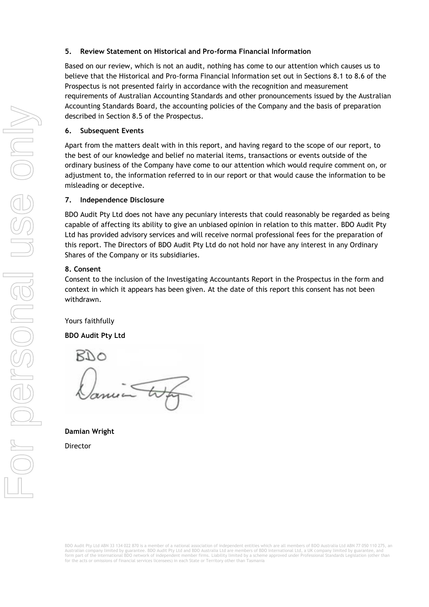#### **5. Review Statement on Historical and Pro-forma Financial Information**

Based on our review, which is not an audit, nothing has come to our attention which causes us to believe that the Historical and Pro-forma Financial Information set out in Sections 8.1 to 8.6 of the Prospectus is not presented fairly in accordance with the recognition and measurement requirements of Australian Accounting Standards and other pronouncements issued by the Australian Accounting Standards Board, the accounting policies of the Company and the basis of preparation described in Section 8.5 of the Prospectus.

#### **6. Subsequent Events**

Apart from the matters dealt with in this report, and having regard to the scope of our report, to the best of our knowledge and belief no material items, transactions or events outside of the ordinary business of the Company have come to our attention which would require comment on, or adjustment to, the information referred to in our report or that would cause the information to be misleading or deceptive.

#### **7. Independence Disclosure**

BDO Audit Pty Ltd does not have any pecuniary interests that could reasonably be regarded as being capable of affecting its ability to give an unbiased opinion in relation to this matter. BDO Audit Pty Ltd has provided advisory services and will receive normal professional fees for the preparation of this report. The Directors of BDO Audit Pty Ltd do not hold nor have any interest in any Ordinary Shares of the Company or its subsidiaries.

#### **8. Consent**

Consent to the inclusion of the Investigating Accountants Report in the Prospectus in the form and context in which it appears has been given. At the date of this report this consent has not been withdrawn.

Yours faithfully

#### **BDO Audit Pty Ltd**

RDO

**Damian Wright**

Director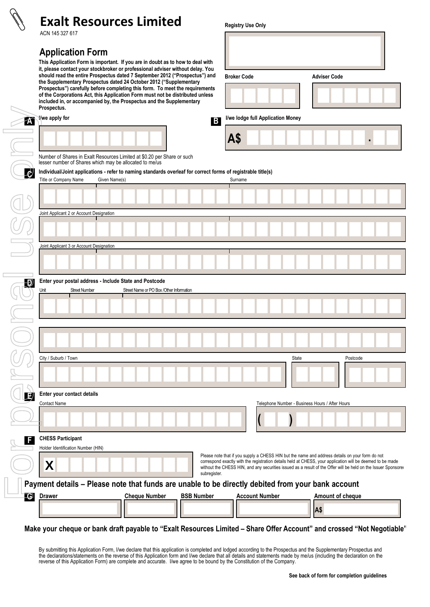# **Exalt Resources Limited**

ACN 145 327 617

## **Application Form**

**This Application Form is important. If you are in doubt as to how to deal with it, please contact your stockbroker or professional adviser without delay. You should read the entire Prospectus dated 7 September 2012 ("Prospectus") and the Supplementary Prospectus dated 24 October 2012 ("Supplementary Prospectus") carefully before completing this form. To meet the requirements of the Corporations Act, this Application Form must not be distributed unless included in, or accompanied by, the Prospectus and the Supplementary** 

| <b>V</b> we apply for                                   |                                                                                                                               | B            |                                                                                                                                                                                                                                                                                                                                | I/we lodge full Application Money               |       |          |  |
|---------------------------------------------------------|-------------------------------------------------------------------------------------------------------------------------------|--------------|--------------------------------------------------------------------------------------------------------------------------------------------------------------------------------------------------------------------------------------------------------------------------------------------------------------------------------|-------------------------------------------------|-------|----------|--|
|                                                         |                                                                                                                               |              | A\$                                                                                                                                                                                                                                                                                                                            |                                                 |       |          |  |
| lesser number of Shares which may be allocated to me/us | Number of Shares in Exalt Resources Limited at \$0.20 per Share or such                                                       |              |                                                                                                                                                                                                                                                                                                                                |                                                 |       |          |  |
| Title or Company Name                                   | Individual/Joint applications - refer to naming standards overleaf for correct forms of registrable title(s)<br>Given Name(s) |              | Surname                                                                                                                                                                                                                                                                                                                        |                                                 |       |          |  |
|                                                         |                                                                                                                               |              |                                                                                                                                                                                                                                                                                                                                |                                                 |       |          |  |
|                                                         |                                                                                                                               |              |                                                                                                                                                                                                                                                                                                                                |                                                 |       |          |  |
| Joint Applicant 2 or Account Designation                |                                                                                                                               |              |                                                                                                                                                                                                                                                                                                                                |                                                 |       |          |  |
|                                                         |                                                                                                                               |              |                                                                                                                                                                                                                                                                                                                                |                                                 |       |          |  |
| Joint Applicant 3 or Account Designation                |                                                                                                                               |              |                                                                                                                                                                                                                                                                                                                                |                                                 |       |          |  |
|                                                         |                                                                                                                               |              |                                                                                                                                                                                                                                                                                                                                |                                                 |       |          |  |
|                                                         |                                                                                                                               |              |                                                                                                                                                                                                                                                                                                                                |                                                 |       |          |  |
|                                                         |                                                                                                                               |              |                                                                                                                                                                                                                                                                                                                                |                                                 |       |          |  |
|                                                         |                                                                                                                               |              |                                                                                                                                                                                                                                                                                                                                |                                                 |       |          |  |
|                                                         |                                                                                                                               |              |                                                                                                                                                                                                                                                                                                                                |                                                 |       |          |  |
| City / Suburb / Town                                    |                                                                                                                               |              |                                                                                                                                                                                                                                                                                                                                |                                                 | State | Postcode |  |
|                                                         |                                                                                                                               |              |                                                                                                                                                                                                                                                                                                                                |                                                 |       |          |  |
| Enter your contact details                              |                                                                                                                               |              |                                                                                                                                                                                                                                                                                                                                |                                                 |       |          |  |
| <b>Contact Name</b>                                     |                                                                                                                               |              |                                                                                                                                                                                                                                                                                                                                | Telephone Number - Business Hours / After Hours |       |          |  |
|                                                         |                                                                                                                               |              |                                                                                                                                                                                                                                                                                                                                | $\prime$                                        |       |          |  |
| <b>CHESS Participant</b>                                |                                                                                                                               |              |                                                                                                                                                                                                                                                                                                                                |                                                 |       |          |  |
| Holder Identification Number (HIN)                      |                                                                                                                               |              |                                                                                                                                                                                                                                                                                                                                |                                                 |       |          |  |
| X                                                       |                                                                                                                               | subregister. | Please note that if you supply a CHESS HIN but the name and address details on your form do not<br>correspond exactly with the registration details held at CHESS, your application will be deemed to be made<br>without the CHESS HIN, and any securities issued as a result of the Offer will be held on the Issuer Sponsore |                                                 |       |          |  |
|                                                         | Payment details - Please note that funds are unable to be directly debited from your bank account                             |              |                                                                                                                                                                                                                                                                                                                                | <b>Account Number</b>                           |       |          |  |

**Registry Use Only**

**Broker Code Adviser Code**

## **Make your cheque or bank draft payable to "Exalt Resources Limited – Share Offer Account" and crossed "Not Negotiable"**

By submitting this Application Form, I/we declare that this application is completed and lodged according to the Prospectus and the Supplementary Prospectus and the declarations/statements on the reverse of this Application form and I/we declare that all details and statements made by me/us (including the declaration on the reverse of this Application Form) are complete and accurate. I/we agree to be bound by the Constitution of the Company.